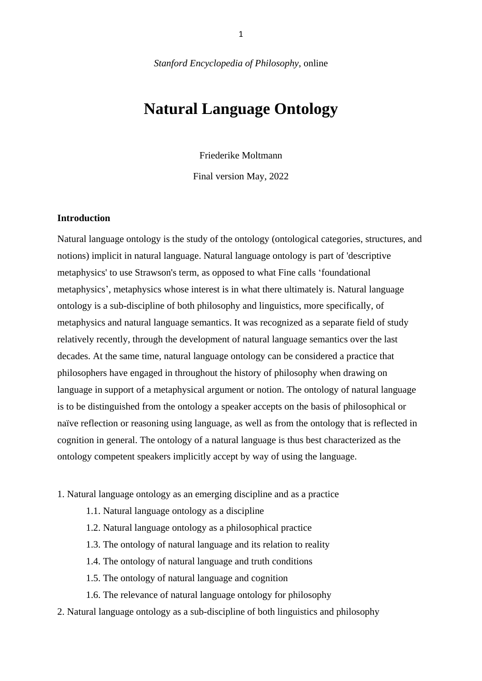*Stanford Encyclopedia of Philosophy*, online

# **Natural Language Ontology**

Friederike Moltmann

Final version May, 2022

#### **Introduction**

Natural language ontology is the study of the ontology (ontological categories, structures, and notions) implicit in natural language. Natural language ontology is part of 'descriptive metaphysics' to use Strawson's term, as opposed to what Fine calls 'foundational metaphysics', metaphysics whose interest is in what there ultimately is. Natural language ontology is a sub-discipline of both philosophy and linguistics, more specifically, of metaphysics and natural language semantics. It was recognized as a separate field of study relatively recently, through the development of natural language semantics over the last decades. At the same time, natural language ontology can be considered a practice that philosophers have engaged in throughout the history of philosophy when drawing on language in support of a metaphysical argument or notion. The ontology of natural language is to be distinguished from the ontology a speaker accepts on the basis of philosophical or naïve reflection or reasoning using language, as well as from the ontology that is reflected in cognition in general. The ontology of a natural language is thus best characterized as the ontology competent speakers implicitly accept by way of using the language.

1. Natural language ontology as an emerging discipline and as a practice

- 1.1. Natural language ontology as a discipline
- 1.2. Natural language ontology as a philosophical practice
- 1.3. The ontology of natural language and its relation to reality
- 1.4. The ontology of natural language and truth conditions
- 1.5. The ontology of natural language and cognition
- 1.6. The relevance of natural language ontology for philosophy
- 2. Natural language ontology as a sub-discipline of both linguistics and philosophy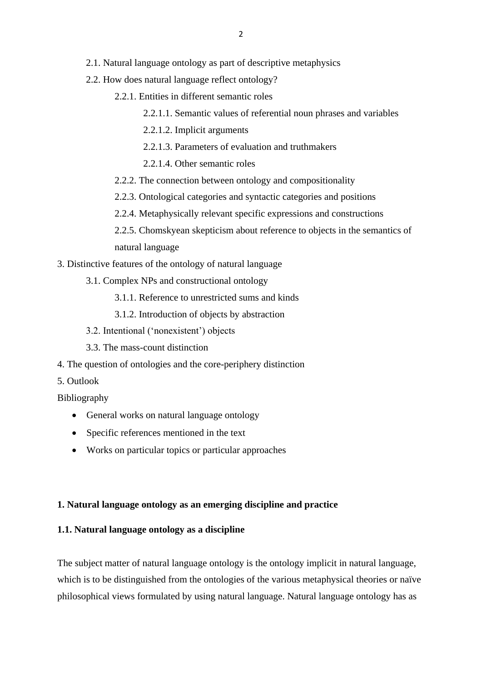- 2.1. Natural language ontology as part of descriptive metaphysics
- 2.2. How does natural language reflect ontology?
	- 2.2.1. Entities in different semantic roles
		- 2.2.1.1. Semantic values of referential noun phrases and variables
		- 2.2.1.2. Implicit arguments
		- 2.2.1.3. Parameters of evaluation and truthmakers
		- 2.2.1.4. Other semantic roles
	- 2.2.2. The connection between ontology and compositionality
	- 2.2.3. Ontological categories and syntactic categories and positions
	- 2.2.4. Metaphysically relevant specific expressions and constructions
	- 2.2.5. Chomskyean skepticism about reference to objects in the semantics of natural language
- 3. Distinctive features of the ontology of natural language
	- 3.1. Complex NPs and constructional ontology
		- 3.1.1. Reference to unrestricted sums and kinds
		- 3.1.2. Introduction of objects by abstraction
	- 3.2. Intentional ('nonexistent') objects
	- 3.3. The mass-count distinction
- 4. The question of ontologies and the core-periphery distinction
- 5. Outlook

Bibliography

- General works on natural language ontology
- Specific references mentioned in the text
- Works on particular topics or particular approaches

# **1. Natural language ontology as an emerging discipline and practice**

# **1.1. Natural language ontology as a discipline**

The subject matter of natural language ontology is the ontology implicit in natural language, which is to be distinguished from the ontologies of the various metaphysical theories or naïve philosophical views formulated by using natural language. Natural language ontology has as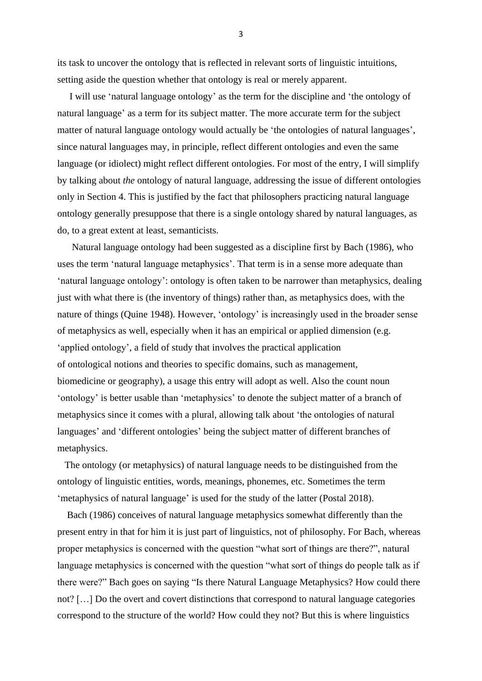its task to uncover the ontology that is reflected in relevant sorts of linguistic intuitions, setting aside the question whether that ontology is real or merely apparent.

 I will use 'natural language ontology' as the term for the discipline and 'the ontology of natural language' as a term for its subject matter. The more accurate term for the subject matter of natural language ontology would actually be 'the ontologies of natural languages', since natural languages may, in principle, reflect different ontologies and even the same language (or idiolect) might reflect different ontologies. For most of the entry, I will simplify by talking about *the* ontology of natural language, addressing the issue of different ontologies only in Section 4. This is justified by the fact that philosophers practicing natural language ontology generally presuppose that there is a single ontology shared by natural languages, as do, to a great extent at least, semanticists.

 Natural language ontology had been suggested as a discipline first by Bach (1986), who uses the term 'natural language metaphysics'. That term is in a sense more adequate than 'natural language ontology': ontology is often taken to be narrower than metaphysics, dealing just with what there is (the inventory of things) rather than, as metaphysics does, with the nature of things (Quine 1948). However, 'ontology' is increasingly used in the broader sense of metaphysics as well, especially when it has an empirical or applied dimension (e.g. 'applied ontology', a field of study that involves the practical application of ontological notions and theories to specific domains, such as management, biomedicine or geography), a usage this entry will adopt as well. Also the count noun 'ontology' is better usable than 'metaphysics' to denote the subject matter of a branch of metaphysics since it comes with a plural, allowing talk about 'the ontologies of natural languages' and 'different ontologies' being the subject matter of different branches of metaphysics.

 The ontology (or metaphysics) of natural language needs to be distinguished from the ontology of linguistic entities, words, meanings, phonemes, etc. Sometimes the term 'metaphysics of natural language' is used for the study of the latter (Postal 2018).

 Bach (1986) conceives of natural language metaphysics somewhat differently than the present entry in that for him it is just part of linguistics, not of philosophy. For Bach, whereas proper metaphysics is concerned with the question "what sort of things are there?", natural language metaphysics is concerned with the question "what sort of things do people talk as if there were?" Bach goes on saying "Is there Natural Language Metaphysics? How could there not? […] Do the overt and covert distinctions that correspond to natural language categories correspond to the structure of the world? How could they not? But this is where linguistics

3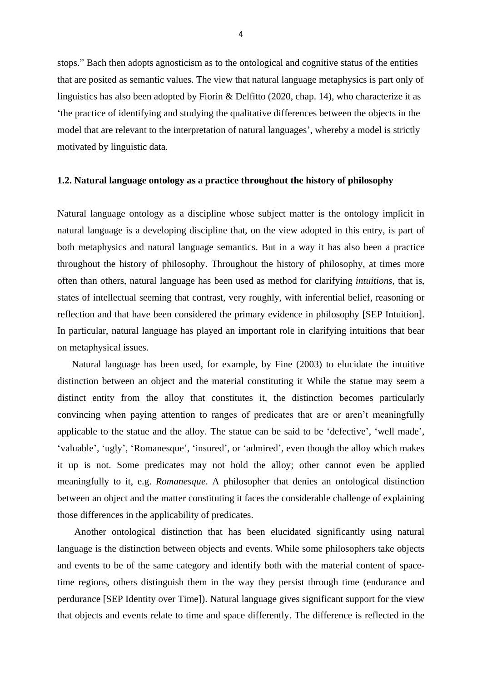stops." Bach then adopts agnosticism as to the ontological and cognitive status of the entities that are posited as semantic values. The view that natural language metaphysics is part only of linguistics has also been adopted by Fiorin & Delfitto (2020, chap. 14), who characterize it as 'the practice of identifying and studying the qualitative differences between the objects in the model that are relevant to the interpretation of natural languages', whereby a model is strictly motivated by linguistic data.

#### **1.2. Natural language ontology as a practice throughout the history of philosophy**

Natural language ontology as a discipline whose subject matter is the ontology implicit in natural language is a developing discipline that, on the view adopted in this entry, is part of both metaphysics and natural language semantics. But in a way it has also been a practice throughout the history of philosophy. Throughout the history of philosophy, at times more often than others, natural language has been used as method for clarifying *intuitions*, that is, states of intellectual seeming that contrast, very roughly, with inferential belief, reasoning or reflection and that have been considered the primary evidence in philosophy [SEP Intuition]. In particular, natural language has played an important role in clarifying intuitions that bear on metaphysical issues.

 Natural language has been used, for example, by Fine (2003) to elucidate the intuitive distinction between an object and the material constituting it While the statue may seem a distinct entity from the alloy that constitutes it, the distinction becomes particularly convincing when paying attention to ranges of predicates that are or aren't meaningfully applicable to the statue and the alloy. The statue can be said to be 'defective', 'well made', 'valuable', 'ugly', 'Romanesque', 'insured', or 'admired', even though the alloy which makes it up is not. Some predicates may not hold the alloy; other cannot even be applied meaningfully to it, e.g. *Romanesque*. A philosopher that denies an ontological distinction between an object and the matter constituting it faces the considerable challenge of explaining those differences in the applicability of predicates.

 Another ontological distinction that has been elucidated significantly using natural language is the distinction between objects and events. While some philosophers take objects and events to be of the same category and identify both with the material content of spacetime regions, others distinguish them in the way they persist through time (endurance and perdurance [SEP Identity over Time]). Natural language gives significant support for the view that objects and events relate to time and space differently. The difference is reflected in the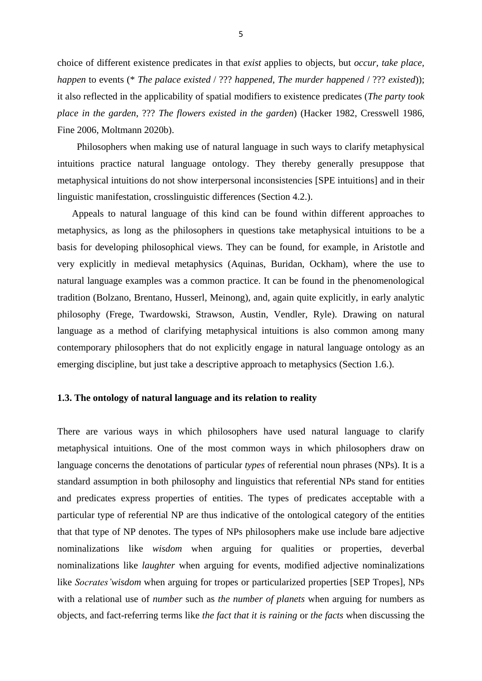choice of different existence predicates in that *exist* applies to objects, but *occur, take place, happen* to events (\* *The palace existed* / ??? *happened*, *The murder happened* / ??? *existed*)); it also reflected in the applicability of spatial modifiers to existence predicates (*The party took place in the garden*, ??? *The flowers existed in the garden*) (Hacker 1982, Cresswell 1986, Fine 2006, Moltmann 2020b).

 Philosophers when making use of natural language in such ways to clarify metaphysical intuitions practice natural language ontology. They thereby generally presuppose that metaphysical intuitions do not show interpersonal inconsistencies [SPE intuitions] and in their linguistic manifestation, crosslinguistic differences (Section 4.2.).

 Appeals to natural language of this kind can be found within different approaches to metaphysics, as long as the philosophers in questions take metaphysical intuitions to be a basis for developing philosophical views. They can be found, for example, in Aristotle and very explicitly in medieval metaphysics (Aquinas, Buridan, Ockham), where the use to natural language examples was a common practice. It can be found in the phenomenological tradition (Bolzano, Brentano, Husserl, Meinong), and, again quite explicitly, in early analytic philosophy (Frege, Twardowski, Strawson, Austin, Vendler, Ryle). Drawing on natural language as a method of clarifying metaphysical intuitions is also common among many contemporary philosophers that do not explicitly engage in natural language ontology as an emerging discipline, but just take a descriptive approach to metaphysics (Section 1.6.).

# **1.3. The ontology of natural language and its relation to reality**

There are various ways in which philosophers have used natural language to clarify metaphysical intuitions. One of the most common ways in which philosophers draw on language concerns the denotations of particular *types* of referential noun phrases (NPs). It is a standard assumption in both philosophy and linguistics that referential NPs stand for entities and predicates express properties of entities. The types of predicates acceptable with a particular type of referential NP are thus indicative of the ontological category of the entities that that type of NP denotes. The types of NPs philosophers make use include bare adjective nominalizations like *wisdom* when arguing for qualities or properties, deverbal nominalizations like *laughter* when arguing for events, modified adjective nominalizations like *Socrates' wisdom* when arguing for tropes or particularized properties [SEP Tropes], NPs with a relational use of *number* such as *the number of planets* when arguing for numbers as objects, and fact-referring terms like *the fact that it is raining* or *the facts* when discussing the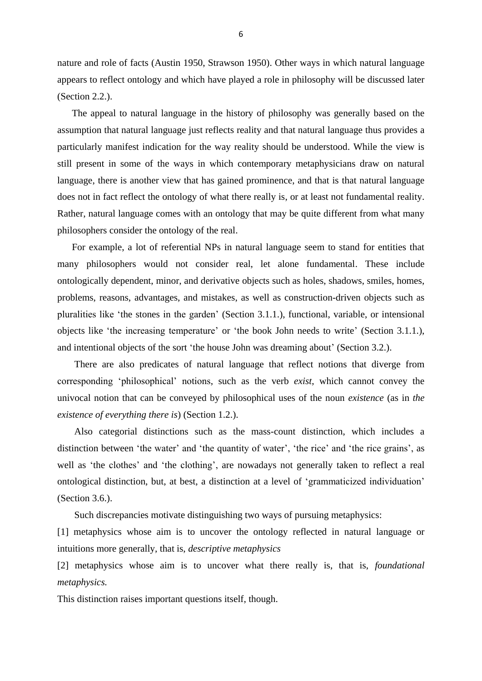nature and role of facts (Austin 1950, Strawson 1950). Other ways in which natural language appears to reflect ontology and which have played a role in philosophy will be discussed later (Section 2.2.).

 The appeal to natural language in the history of philosophy was generally based on the assumption that natural language just reflects reality and that natural language thus provides a particularly manifest indication for the way reality should be understood. While the view is still present in some of the ways in which contemporary metaphysicians draw on natural language, there is another view that has gained prominence, and that is that natural language does not in fact reflect the ontology of what there really is, or at least not fundamental reality. Rather, natural language comes with an ontology that may be quite different from what many philosophers consider the ontology of the real.

 For example, a lot of referential NPs in natural language seem to stand for entities that many philosophers would not consider real, let alone fundamental. These include ontologically dependent, minor, and derivative objects such as holes, shadows, smiles, homes, problems, reasons, advantages, and mistakes, as well as construction-driven objects such as pluralities like 'the stones in the garden' (Section 3.1.1.), functional, variable, or intensional objects like 'the increasing temperature' or 'the book John needs to write' (Section 3.1.1.), and intentional objects of the sort 'the house John was dreaming about' (Section 3.2.).

 There are also predicates of natural language that reflect notions that diverge from corresponding 'philosophical' notions, such as the verb *exist*, which cannot convey the univocal notion that can be conveyed by philosophical uses of the noun *existence* (as in *the existence of everything there is*) (Section 1.2.).

 Also categorial distinctions such as the mass-count distinction, which includes a distinction between 'the water' and 'the quantity of water', 'the rice' and 'the rice grains', as well as 'the clothes' and 'the clothing', are nowadays not generally taken to reflect a real ontological distinction, but, at best, a distinction at a level of 'grammaticized individuation' (Section 3.6.).

Such discrepancies motivate distinguishing two ways of pursuing metaphysics:

[1] metaphysics whose aim is to uncover the ontology reflected in natural language or intuitions more generally, that is, *descriptive metaphysics*

[2] metaphysics whose aim is to uncover what there really is, that is, *foundational metaphysics.*

This distinction raises important questions itself, though.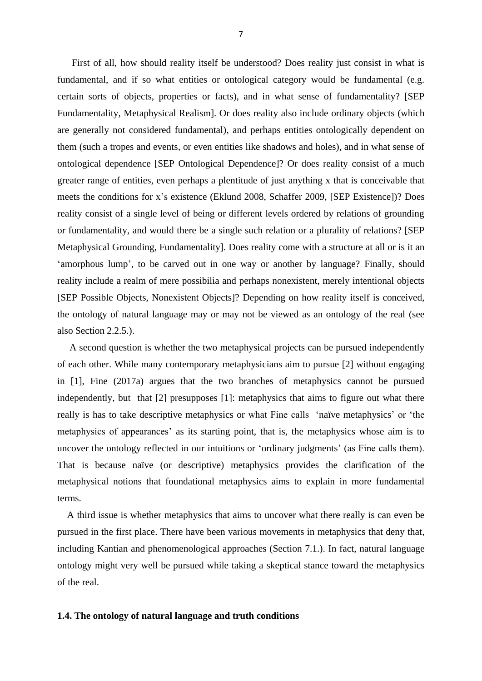First of all, how should reality itself be understood? Does reality just consist in what is fundamental, and if so what entities or ontological category would be fundamental (e.g. certain sorts of objects, properties or facts), and in what sense of fundamentality? [SEP Fundamentality, Metaphysical Realism]. Or does reality also include ordinary objects (which are generally not considered fundamental), and perhaps entities ontologically dependent on them (such a tropes and events, or even entities like shadows and holes), and in what sense of ontological dependence [SEP Ontological Dependence]? Or does reality consist of a much greater range of entities, even perhaps a plentitude of just anything x that is conceivable that meets the conditions for x's existence (Eklund 2008, Schaffer 2009, [SEP Existence])? Does reality consist of a single level of being or different levels ordered by relations of grounding or fundamentality, and would there be a single such relation or a plurality of relations? [SEP Metaphysical Grounding, Fundamentality]. Does reality come with a structure at all or is it an 'amorphous lump', to be carved out in one way or another by language? Finally, should reality include a realm of mere possibilia and perhaps nonexistent, merely intentional objects [SEP Possible Objects, Nonexistent Objects]? Depending on how reality itself is conceived, the ontology of natural language may or may not be viewed as an ontology of the real (see also Section 2.2.5.).

 A second question is whether the two metaphysical projects can be pursued independently of each other. While many contemporary metaphysicians aim to pursue [2] without engaging in [1], Fine (2017a) argues that the two branches of metaphysics cannot be pursued independently, but that [2] presupposes [1]: metaphysics that aims to figure out what there really is has to take descriptive metaphysics or what Fine calls 'naïve metaphysics' or 'the metaphysics of appearances' as its starting point, that is, the metaphysics whose aim is to uncover the ontology reflected in our intuitions or 'ordinary judgments' (as Fine calls them). That is because naïve (or descriptive) metaphysics provides the clarification of the metaphysical notions that foundational metaphysics aims to explain in more fundamental terms.

 A third issue is whether metaphysics that aims to uncover what there really is can even be pursued in the first place. There have been various movements in metaphysics that deny that, including Kantian and phenomenological approaches (Section 7.1.). In fact, natural language ontology might very well be pursued while taking a skeptical stance toward the metaphysics of the real.

#### **1.4. The ontology of natural language and truth conditions**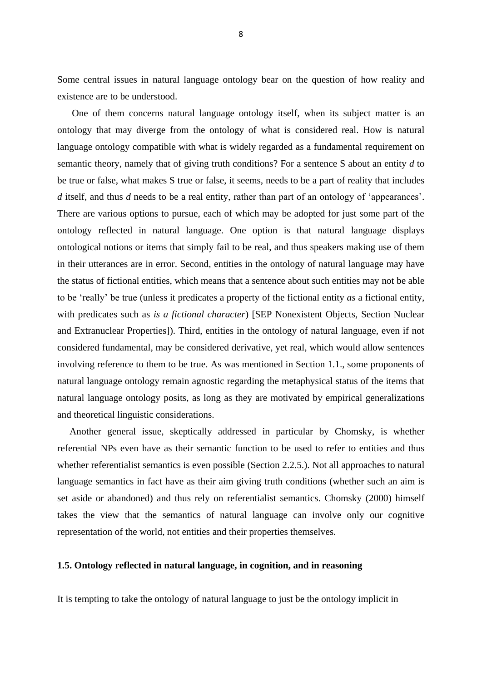Some central issues in natural language ontology bear on the question of how reality and existence are to be understood.

 One of them concerns natural language ontology itself, when its subject matter is an ontology that may diverge from the ontology of what is considered real. How is natural language ontology compatible with what is widely regarded as a fundamental requirement on semantic theory, namely that of giving truth conditions? For a sentence S about an entity *d* to be true or false, what makes S true or false, it seems, needs to be a part of reality that includes *d* itself, and thus *d* needs to be a real entity, rather than part of an ontology of 'appearances'. There are various options to pursue, each of which may be adopted for just some part of the ontology reflected in natural language. One option is that natural language displays ontological notions or items that simply fail to be real, and thus speakers making use of them in their utterances are in error. Second, entities in the ontology of natural language may have the status of fictional entities, which means that a sentence about such entities may not be able to be 'really' be true (unless it predicates a property of the fictional entity *as* a fictional entity, with predicates such as *is a fictional character*) [SEP Nonexistent Objects, Section Nuclear and Extranuclear Properties]). Third, entities in the ontology of natural language, even if not considered fundamental, may be considered derivative, yet real, which would allow sentences involving reference to them to be true. As was mentioned in Section 1.1., some proponents of natural language ontology remain agnostic regarding the metaphysical status of the items that natural language ontology posits, as long as they are motivated by empirical generalizations and theoretical linguistic considerations.

 Another general issue, skeptically addressed in particular by Chomsky, is whether referential NPs even have as their semantic function to be used to refer to entities and thus whether referentialist semantics is even possible (Section 2.2.5.). Not all approaches to natural language semantics in fact have as their aim giving truth conditions (whether such an aim is set aside or abandoned) and thus rely on referentialist semantics. Chomsky (2000) himself takes the view that the semantics of natural language can involve only our cognitive representation of the world, not entities and their properties themselves.

#### **1.5. Ontology reflected in natural language, in cognition, and in reasoning**

It is tempting to take the ontology of natural language to just be the ontology implicit in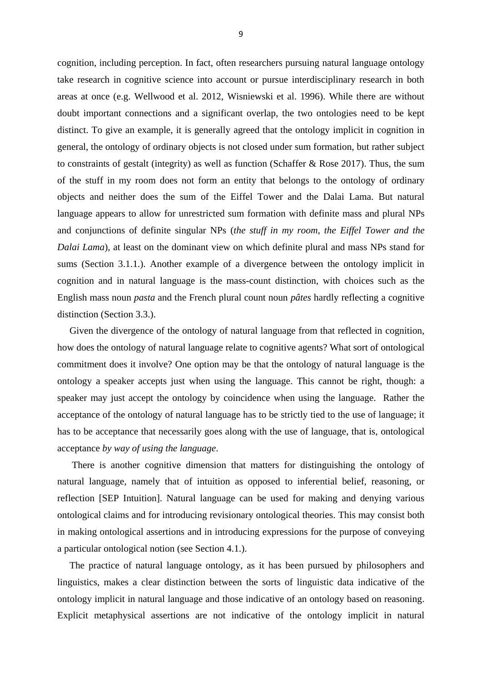cognition, including perception. In fact, often researchers pursuing natural language ontology take research in cognitive science into account or pursue interdisciplinary research in both areas at once (e.g. Wellwood et al. 2012, Wisniewski et al. 1996). While there are without doubt important connections and a significant overlap, the two ontologies need to be kept distinct. To give an example, it is generally agreed that the ontology implicit in cognition in general, the ontology of ordinary objects is not closed under sum formation, but rather subject to constraints of gestalt (integrity) as well as function (Schaffer & Rose 2017). Thus, the sum of the stuff in my room does not form an entity that belongs to the ontology of ordinary objects and neither does the sum of the Eiffel Tower and the Dalai Lama. But natural language appears to allow for unrestricted sum formation with definite mass and plural NPs and conjunctions of definite singular NPs (*the stuff in my room*, *the Eiffel Tower and the Dalai Lama*), at least on the dominant view on which definite plural and mass NPs stand for sums (Section 3.1.1.). Another example of a divergence between the ontology implicit in cognition and in natural language is the mass-count distinction, with choices such as the English mass noun *pasta* and the French plural count noun *pâtes* hardly reflecting a cognitive distinction (Section 3.3.).

 Given the divergence of the ontology of natural language from that reflected in cognition, how does the ontology of natural language relate to cognitive agents? What sort of ontological commitment does it involve? One option may be that the ontology of natural language is the ontology a speaker accepts just when using the language. This cannot be right, though: a speaker may just accept the ontology by coincidence when using the language. Rather the acceptance of the ontology of natural language has to be strictly tied to the use of language; it has to be acceptance that necessarily goes along with the use of language, that is, ontological acceptance *by way of using the language*.

 There is another cognitive dimension that matters for distinguishing the ontology of natural language, namely that of intuition as opposed to inferential belief, reasoning, or reflection [SEP Intuition]. Natural language can be used for making and denying various ontological claims and for introducing revisionary ontological theories. This may consist both in making ontological assertions and in introducing expressions for the purpose of conveying a particular ontological notion (see Section 4.1.).

 The practice of natural language ontology, as it has been pursued by philosophers and linguistics, makes a clear distinction between the sorts of linguistic data indicative of the ontology implicit in natural language and those indicative of an ontology based on reasoning. Explicit metaphysical assertions are not indicative of the ontology implicit in natural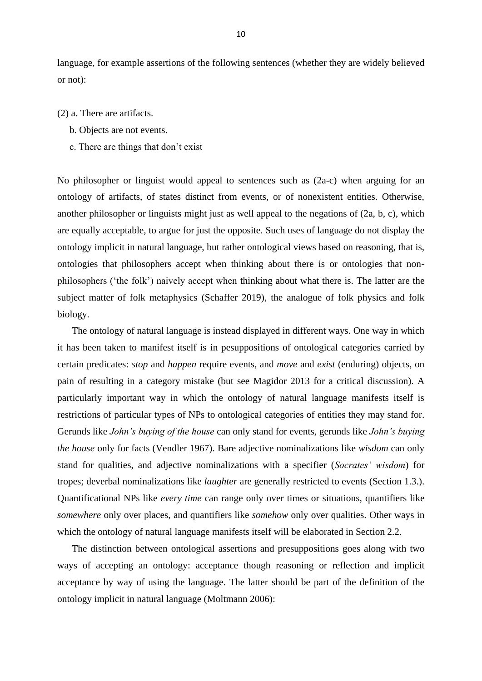language, for example assertions of the following sentences (whether they are widely believed or not):

- (2) a. There are artifacts.
	- b. Objects are not events.
	- c. There are things that don't exist

No philosopher or linguist would appeal to sentences such as (2a-c) when arguing for an ontology of artifacts, of states distinct from events, or of nonexistent entities. Otherwise, another philosopher or linguists might just as well appeal to the negations of (2a, b, c), which are equally acceptable, to argue for just the opposite. Such uses of language do not display the ontology implicit in natural language, but rather ontological views based on reasoning, that is, ontologies that philosophers accept when thinking about there is or ontologies that nonphilosophers ('the folk') naively accept when thinking about what there is. The latter are the subject matter of folk metaphysics (Schaffer 2019), the analogue of folk physics and folk biology.

 The ontology of natural language is instead displayed in different ways. One way in which it has been taken to manifest itself is in pesuppositions of ontological categories carried by certain predicates: *stop* and *happen* require events, and *move* and *exist* (enduring) objects, on pain of resulting in a category mistake (but see Magidor 2013 for a critical discussion). A particularly important way in which the ontology of natural language manifests itself is restrictions of particular types of NPs to ontological categories of entities they may stand for. Gerunds like *John's buying of the house* can only stand for events, gerunds like *John's buying the house* only for facts (Vendler 1967). Bare adjective nominalizations like *wisdom* can only stand for qualities, and adjective nominalizations with a specifier (*Socrates' wisdom*) for tropes; deverbal nominalizations like *laughter* are generally restricted to events (Section 1.3.). Quantificational NPs like *every time* can range only over times or situations, quantifiers like *somewhere* only over places, and quantifiers like *somehow* only over qualities. Other ways in which the ontology of natural language manifests itself will be elaborated in Section 2.2.

 The distinction between ontological assertions and presuppositions goes along with two ways of accepting an ontology: acceptance though reasoning or reflection and implicit acceptance by way of using the language. The latter should be part of the definition of the ontology implicit in natural language (Moltmann 2006):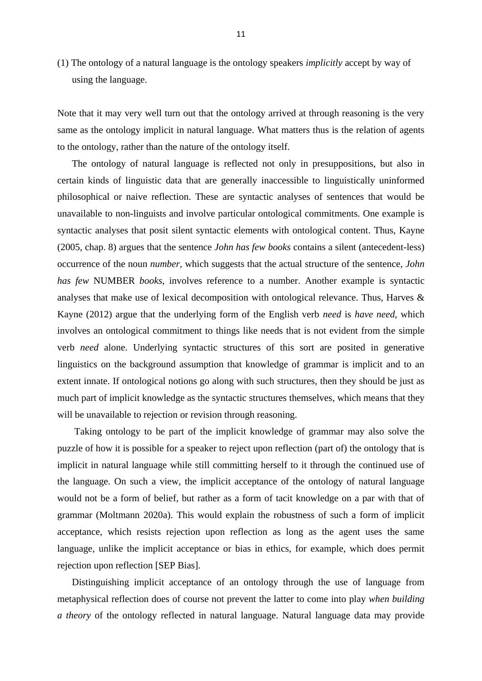(1) The ontology of a natural language is the ontology speakers *implicitly* accept by way of using the language.

Note that it may very well turn out that the ontology arrived at through reasoning is the very same as the ontology implicit in natural language. What matters thus is the relation of agents to the ontology, rather than the nature of the ontology itself.

 The ontology of natural language is reflected not only in presuppositions, but also in certain kinds of linguistic data that are generally inaccessible to linguistically uninformed philosophical or naive reflection. These are syntactic analyses of sentences that would be unavailable to non-linguists and involve particular ontological commitments. One example is syntactic analyses that posit silent syntactic elements with ontological content. Thus, Kayne (2005, chap. 8) argues that the sentence *John has few books* contains a silent (antecedent-less) occurrence of the noun *number*, which suggests that the actual structure of the sentence, *John has few* NUMBER *books*, involves reference to a number. Another example is syntactic analyses that make use of lexical decomposition with ontological relevance. Thus, Harves & Kayne (2012) argue that the underlying form of the English verb *need* is *have need*, which involves an ontological commitment to things like needs that is not evident from the simple verb *need* alone. Underlying syntactic structures of this sort are posited in generative linguistics on the background assumption that knowledge of grammar is implicit and to an extent innate. If ontological notions go along with such structures, then they should be just as much part of implicit knowledge as the syntactic structures themselves, which means that they will be unavailable to rejection or revision through reasoning.

 Taking ontology to be part of the implicit knowledge of grammar may also solve the puzzle of how it is possible for a speaker to reject upon reflection (part of) the ontology that is implicit in natural language while still committing herself to it through the continued use of the language. On such a view, the implicit acceptance of the ontology of natural language would not be a form of belief, but rather as a form of tacit knowledge on a par with that of grammar (Moltmann 2020a). This would explain the robustness of such a form of implicit acceptance, which resists rejection upon reflection as long as the agent uses the same language, unlike the implicit acceptance or bias in ethics, for example, which does permit rejection upon reflection [SEP Bias].

 Distinguishing implicit acceptance of an ontology through the use of language from metaphysical reflection does of course not prevent the latter to come into play *when building a theory* of the ontology reflected in natural language. Natural language data may provide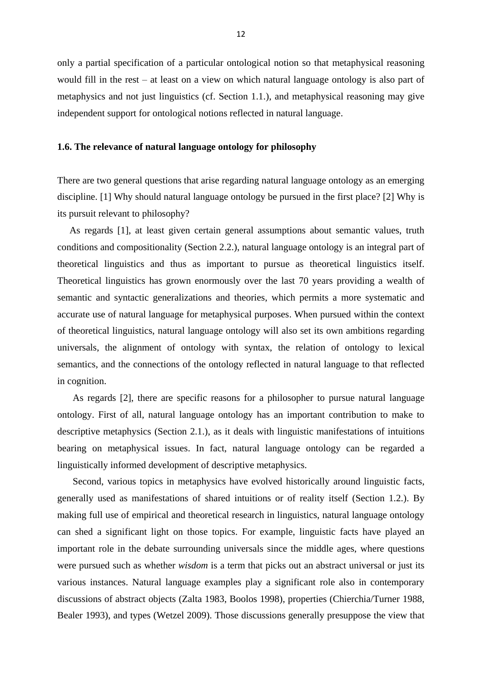only a partial specification of a particular ontological notion so that metaphysical reasoning would fill in the rest – at least on a view on which natural language ontology is also part of metaphysics and not just linguistics (cf. Section 1.1.), and metaphysical reasoning may give independent support for ontological notions reflected in natural language.

#### **1.6. The relevance of natural language ontology for philosophy**

There are two general questions that arise regarding natural language ontology as an emerging discipline. [1] Why should natural language ontology be pursued in the first place? [2] Why is its pursuit relevant to philosophy?

 As regards [1], at least given certain general assumptions about semantic values, truth conditions and compositionality (Section 2.2.), natural language ontology is an integral part of theoretical linguistics and thus as important to pursue as theoretical linguistics itself. Theoretical linguistics has grown enormously over the last 70 years providing a wealth of semantic and syntactic generalizations and theories, which permits a more systematic and accurate use of natural language for metaphysical purposes. When pursued within the context of theoretical linguistics, natural language ontology will also set its own ambitions regarding universals, the alignment of ontology with syntax, the relation of ontology to lexical semantics, and the connections of the ontology reflected in natural language to that reflected in cognition.

As regards [2], there are specific reasons for a philosopher to pursue natural language ontology. First of all, natural language ontology has an important contribution to make to descriptive metaphysics (Section 2.1.), as it deals with linguistic manifestations of intuitions bearing on metaphysical issues. In fact, natural language ontology can be regarded a linguistically informed development of descriptive metaphysics.

Second, various topics in metaphysics have evolved historically around linguistic facts, generally used as manifestations of shared intuitions or of reality itself (Section 1.2.). By making full use of empirical and theoretical research in linguistics, natural language ontology can shed a significant light on those topics. For example, linguistic facts have played an important role in the debate surrounding universals since the middle ages, where questions were pursued such as whether *wisdom* is a term that picks out an abstract universal or just its various instances. Natural language examples play a significant role also in contemporary discussions of abstract objects (Zalta 1983, Boolos 1998), properties (Chierchia/Turner 1988, Bealer 1993), and types (Wetzel 2009). Those discussions generally presuppose the view that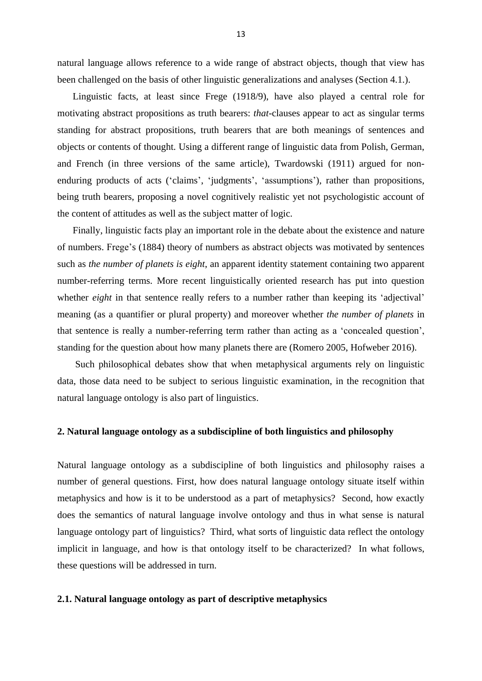natural language allows reference to a wide range of abstract objects, though that view has been challenged on the basis of other linguistic generalizations and analyses (Section 4.1.).

Linguistic facts, at least since Frege (1918/9), have also played a central role for motivating abstract propositions as truth bearers: *that*-clauses appear to act as singular terms standing for abstract propositions, truth bearers that are both meanings of sentences and objects or contents of thought. Using a different range of linguistic data from Polish, German, and French (in three versions of the same article), Twardowski (1911) argued for nonenduring products of acts ('claims', 'judgments', 'assumptions'), rather than propositions, being truth bearers, proposing a novel cognitively realistic yet not psychologistic account of the content of attitudes as well as the subject matter of logic.

Finally, linguistic facts play an important role in the debate about the existence and nature of numbers. Frege's (1884) theory of numbers as abstract objects was motivated by sentences such as *the number of planets is eight*, an apparent identity statement containing two apparent number-referring terms. More recent linguistically oriented research has put into question whether *eight* in that sentence really refers to a number rather than keeping its 'adjectival' meaning (as a quantifier or plural property) and moreover whether *the number of planets* in that sentence is really a number-referring term rather than acting as a 'concealed question', standing for the question about how many planets there are (Romero 2005, Hofweber 2016).

Such philosophical debates show that when metaphysical arguments rely on linguistic data, those data need to be subject to serious linguistic examination, in the recognition that natural language ontology is also part of linguistics.

#### **2. Natural language ontology as a subdiscipline of both linguistics and philosophy**

Natural language ontology as a subdiscipline of both linguistics and philosophy raises a number of general questions. First, how does natural language ontology situate itself within metaphysics and how is it to be understood as a part of metaphysics? Second, how exactly does the semantics of natural language involve ontology and thus in what sense is natural language ontology part of linguistics? Third, what sorts of linguistic data reflect the ontology implicit in language, and how is that ontology itself to be characterized? In what follows, these questions will be addressed in turn.

#### **2.1. Natural language ontology as part of descriptive metaphysics**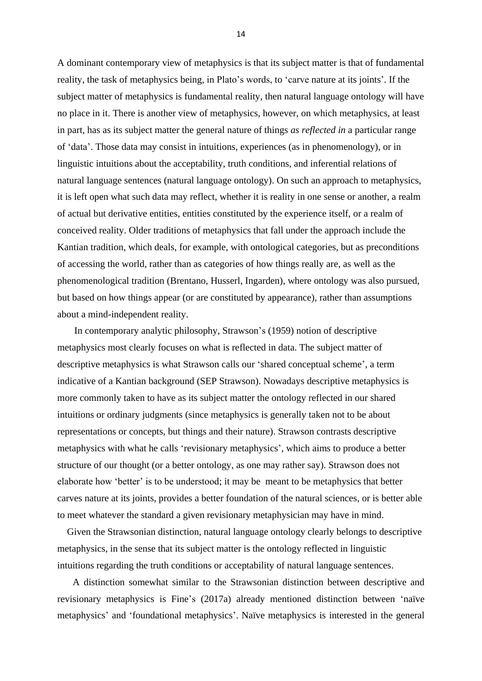A dominant contemporary view of metaphysics is that its subject matter is that of fundamental reality, the task of metaphysics being, in Plato's words, to 'carve nature at its joints'. If the subject matter of metaphysics is fundamental reality, then natural language ontology will have no place in it. There is another view of metaphysics, however, on which metaphysics, at least in part, has as its subject matter the general nature of things *as reflected in* a particular range of 'data'. Those data may consist in intuitions, experiences (as in phenomenology), or in linguistic intuitions about the acceptability, truth conditions, and inferential relations of natural language sentences (natural language ontology). On such an approach to metaphysics, it is left open what such data may reflect, whether it is reality in one sense or another, a realm of actual but derivative entities, entities constituted by the experience itself, or a realm of conceived reality. Older traditions of metaphysics that fall under the approach include the Kantian tradition, which deals, for example, with ontological categories, but as preconditions of accessing the world, rather than as categories of how things really are, as well as the phenomenological tradition (Brentano, Husserl, Ingarden), where ontology was also pursued, but based on how things appear (or are constituted by appearance), rather than assumptions about a mind-independent reality.

 In contemporary analytic philosophy, Strawson's (1959) notion of descriptive metaphysics most clearly focuses on what is reflected in data. The subject matter of descriptive metaphysics is what Strawson calls our 'shared conceptual scheme', a term indicative of a Kantian background (SEP Strawson). Nowadays descriptive metaphysics is more commonly taken to have as its subject matter the ontology reflected in our shared intuitions or ordinary judgments (since metaphysics is generally taken not to be about representations or concepts, but things and their nature). Strawson contrasts descriptive metaphysics with what he calls 'revisionary metaphysics', which aims to produce a better structure of our thought (or a better ontology, as one may rather say). Strawson does not elaborate how 'better' is to be understood; it may be meant to be metaphysics that better carves nature at its joints, provides a better foundation of the natural sciences, or is better able to meet whatever the standard a given revisionary metaphysician may have in mind.

 Given the Strawsonian distinction, natural language ontology clearly belongs to descriptive metaphysics, in the sense that its subject matter is the ontology reflected in linguistic intuitions regarding the truth conditions or acceptability of natural language sentences.

A distinction somewhat similar to the Strawsonian distinction between descriptive and revisionary metaphysics is Fine's (2017a) already mentioned distinction between 'naïve metaphysics' and 'foundational metaphysics'. Naïve metaphysics is interested in the general

14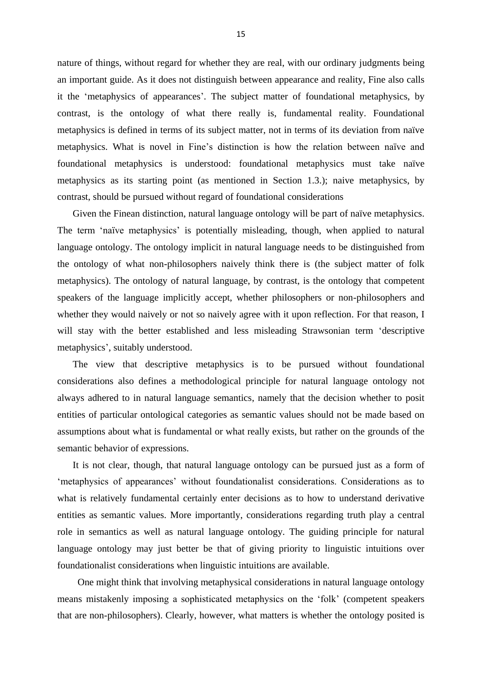nature of things, without regard for whether they are real, with our ordinary judgments being an important guide. As it does not distinguish between appearance and reality, Fine also calls it the 'metaphysics of appearances'. The subject matter of foundational metaphysics, by contrast, is the ontology of what there really is, fundamental reality. Foundational metaphysics is defined in terms of its subject matter, not in terms of its deviation from naïve metaphysics. What is novel in Fine's distinction is how the relation between naïve and foundational metaphysics is understood: foundational metaphysics must take naïve metaphysics as its starting point (as mentioned in Section 1.3.); naive metaphysics, by contrast, should be pursued without regard of foundational considerations

Given the Finean distinction, natural language ontology will be part of naïve metaphysics. The term 'naïve metaphysics' is potentially misleading, though, when applied to natural language ontology. The ontology implicit in natural language needs to be distinguished from the ontology of what non-philosophers naively think there is (the subject matter of folk metaphysics). The ontology of natural language, by contrast, is the ontology that competent speakers of the language implicitly accept, whether philosophers or non-philosophers and whether they would naively or not so naively agree with it upon reflection. For that reason, I will stay with the better established and less misleading Strawsonian term 'descriptive metaphysics', suitably understood.

The view that descriptive metaphysics is to be pursued without foundational considerations also defines a methodological principle for natural language ontology not always adhered to in natural language semantics, namely that the decision whether to posit entities of particular ontological categories as semantic values should not be made based on assumptions about what is fundamental or what really exists, but rather on the grounds of the semantic behavior of expressions.

It is not clear, though, that natural language ontology can be pursued just as a form of 'metaphysics of appearances' without foundationalist considerations. Considerations as to what is relatively fundamental certainly enter decisions as to how to understand derivative entities as semantic values. More importantly, considerations regarding truth play a central role in semantics as well as natural language ontology. The guiding principle for natural language ontology may just better be that of giving priority to linguistic intuitions over foundationalist considerations when linguistic intuitions are available.

 One might think that involving metaphysical considerations in natural language ontology means mistakenly imposing a sophisticated metaphysics on the 'folk' (competent speakers that are non-philosophers). Clearly, however, what matters is whether the ontology posited is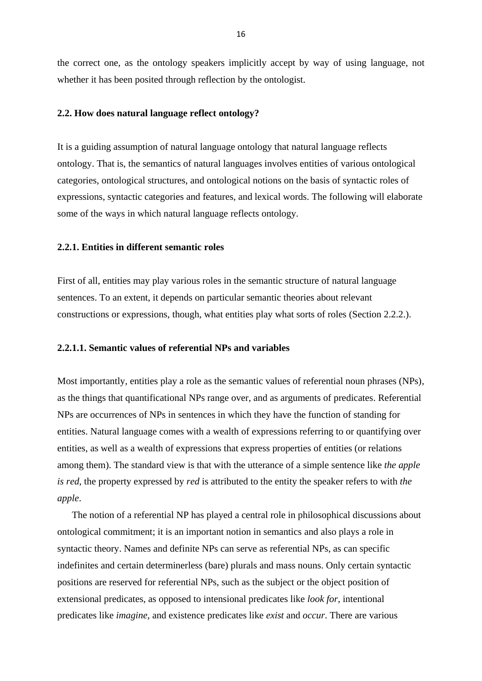the correct one, as the ontology speakers implicitly accept by way of using language, not whether it has been posited through reflection by the ontologist.

#### **2.2. How does natural language reflect ontology?**

It is a guiding assumption of natural language ontology that natural language reflects ontology. That is, the semantics of natural languages involves entities of various ontological categories, ontological structures, and ontological notions on the basis of syntactic roles of expressions, syntactic categories and features, and lexical words. The following will elaborate some of the ways in which natural language reflects ontology.

### **2.2.1. Entities in different semantic roles**

First of all, entities may play various roles in the semantic structure of natural language sentences. To an extent, it depends on particular semantic theories about relevant constructions or expressions, though, what entities play what sorts of roles (Section 2.2.2.).

#### **2.2.1.1. Semantic values of referential NPs and variables**

Most importantly, entities play a role as the semantic values of referential noun phrases (NPs), as the things that quantificational NPs range over, and as arguments of predicates. Referential NPs are occurrences of NPs in sentences in which they have the function of standing for entities. Natural language comes with a wealth of expressions referring to or quantifying over entities, as well as a wealth of expressions that express properties of entities (or relations among them). The standard view is that with the utterance of a simple sentence like *the apple is red,* the property expressed by *red* is attributed to the entity the speaker refers to with *the apple*.

 The notion of a referential NP has played a central role in philosophical discussions about ontological commitment; it is an important notion in semantics and also plays a role in syntactic theory. Names and definite NPs can serve as referential NPs, as can specific indefinites and certain determinerless (bare) plurals and mass nouns. Only certain syntactic positions are reserved for referential NPs, such as the subject or the object position of extensional predicates, as opposed to intensional predicates like *look for*, intentional predicates like *imagine*, and existence predicates like *exist* and *occur*. There are various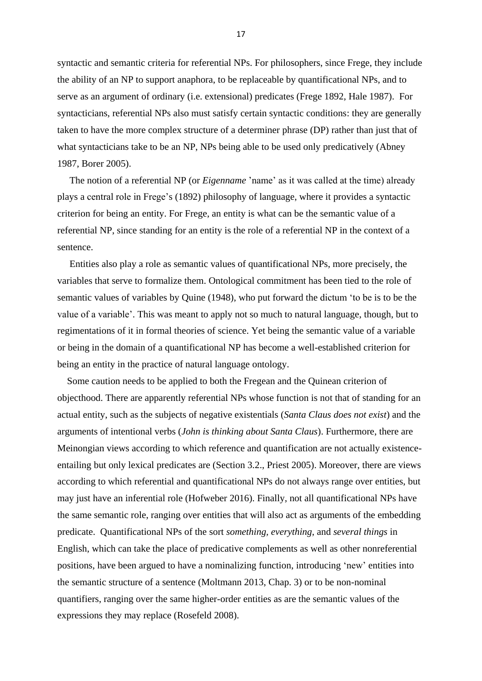syntactic and semantic criteria for referential NPs. For philosophers, since Frege, they include the ability of an NP to support anaphora, to be replaceable by quantificational NPs, and to serve as an argument of ordinary (i.e. extensional) predicates (Frege 1892, Hale 1987). For syntacticians, referential NPs also must satisfy certain syntactic conditions: they are generally taken to have the more complex structure of a determiner phrase (DP) rather than just that of what syntacticians take to be an NP, NPs being able to be used only predicatively (Abney 1987, Borer 2005).

 The notion of a referential NP (or *Eigenname* 'name' as it was called at the time) already plays a central role in Frege's (1892) philosophy of language, where it provides a syntactic criterion for being an entity. For Frege, an entity is what can be the semantic value of a referential NP, since standing for an entity is the role of a referential NP in the context of a sentence.

 Entities also play a role as semantic values of quantificational NPs, more precisely, the variables that serve to formalize them. Ontological commitment has been tied to the role of semantic values of variables by Quine (1948), who put forward the dictum 'to be is to be the value of a variable'. This was meant to apply not so much to natural language, though, but to regimentations of it in formal theories of science. Yet being the semantic value of a variable or being in the domain of a quantificational NP has become a well-established criterion for being an entity in the practice of natural language ontology.

 Some caution needs to be applied to both the Fregean and the Quinean criterion of objecthood. There are apparently referential NPs whose function is not that of standing for an actual entity, such as the subjects of negative existentials (*Santa Claus does not exist*) and the arguments of intentional verbs (*John is thinking about Santa Claus*). Furthermore, there are Meinongian views according to which reference and quantification are not actually existenceentailing but only lexical predicates are (Section 3.2., Priest 2005). Moreover, there are views according to which referential and quantificational NPs do not always range over entities, but may just have an inferential role (Hofweber 2016). Finally, not all quantificational NPs have the same semantic role, ranging over entities that will also act as arguments of the embedding predicate. Quantificational NPs of the sort *something, everything*, and *several things* in English, which can take the place of predicative complements as well as other nonreferential positions, have been argued to have a nominalizing function, introducing 'new' entities into the semantic structure of a sentence (Moltmann 2013, Chap. 3) or to be non-nominal quantifiers, ranging over the same higher-order entities as are the semantic values of the expressions they may replace (Rosefeld 2008).

17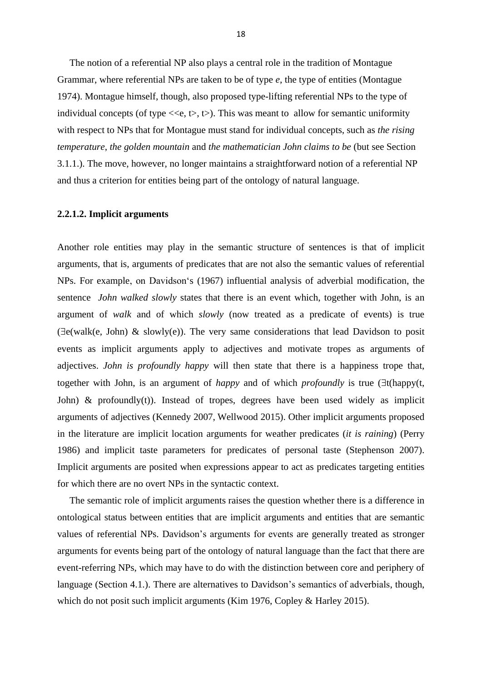The notion of a referential NP also plays a central role in the tradition of Montague Grammar, where referential NPs are taken to be of type *e*, the type of entities (Montague 1974). Montague himself, though, also proposed type-lifting referential NPs to the type of individual concepts (of type  $\langle \langle e, t \rangle, \langle \rangle$ ). This was meant to allow for semantic uniformity with respect to NPs that for Montague must stand for individual concepts, such as *the rising temperature*, *the golden mountain* and *the mathematician John claims to be* (but see Section 3.1.1.). The move, however, no longer maintains a straightforward notion of a referential NP and thus a criterion for entities being part of the ontology of natural language.

#### **2.2.1.2. Implicit arguments**

Another role entities may play in the semantic structure of sentences is that of implicit arguments, that is, arguments of predicates that are not also the semantic values of referential NPs. For example, on Davidson's (1967) influential analysis of adverbial modification, the sentence *John walked slowly* states that there is an event which, together with John, is an argument of *walk* and of which *slowly* (now treated as a predicate of events) is true  $(\exists e(walk(e, John) \& slowly(e))$ . The very same considerations that lead Davidson to posit events as implicit arguments apply to adjectives and motivate tropes as arguments of adjectives. *John is profoundly happy* will then state that there is a happiness trope that, together with John, is an argument of *happy* and of which *profoundly* is true  $(\exists t(happ)(t,$ John)  $\&$  profoundly(t)). Instead of tropes, degrees have been used widely as implicit arguments of adjectives (Kennedy 2007, Wellwood 2015). Other implicit arguments proposed in the literature are implicit location arguments for weather predicates (*it is raining*) (Perry 1986) and implicit taste parameters for predicates of personal taste (Stephenson 2007). Implicit arguments are posited when expressions appear to act as predicates targeting entities for which there are no overt NPs in the syntactic context.

 The semantic role of implicit arguments raises the question whether there is a difference in ontological status between entities that are implicit arguments and entities that are semantic values of referential NPs. Davidson's arguments for events are generally treated as stronger arguments for events being part of the ontology of natural language than the fact that there are event-referring NPs, which may have to do with the distinction between core and periphery of language (Section 4.1.). There are alternatives to Davidson's semantics of adverbials, though, which do not posit such implicit arguments (Kim 1976, Copley & Harley 2015).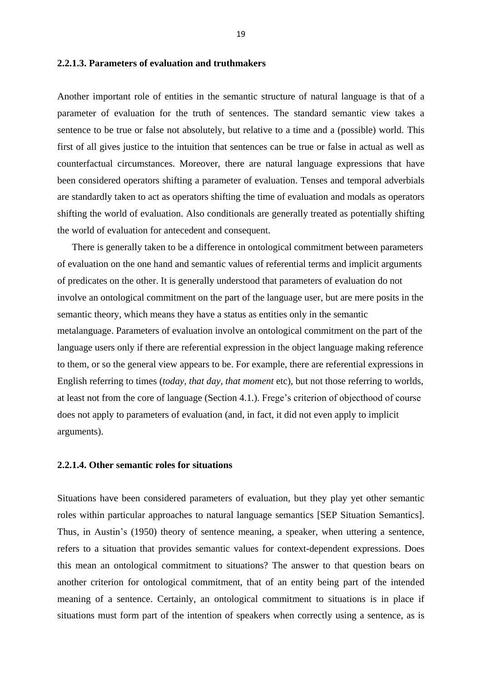## **2.2.1.3. Parameters of evaluation and truthmakers**

Another important role of entities in the semantic structure of natural language is that of a parameter of evaluation for the truth of sentences. The standard semantic view takes a sentence to be true or false not absolutely, but relative to a time and a (possible) world. This first of all gives justice to the intuition that sentences can be true or false in actual as well as counterfactual circumstances. Moreover, there are natural language expressions that have been considered operators shifting a parameter of evaluation. Tenses and temporal adverbials are standardly taken to act as operators shifting the time of evaluation and modals as operators shifting the world of evaluation. Also conditionals are generally treated as potentially shifting the world of evaluation for antecedent and consequent.

 There is generally taken to be a difference in ontological commitment between parameters of evaluation on the one hand and semantic values of referential terms and implicit arguments of predicates on the other. It is generally understood that parameters of evaluation do not involve an ontological commitment on the part of the language user, but are mere posits in the semantic theory, which means they have a status as entities only in the semantic metalanguage. Parameters of evaluation involve an ontological commitment on the part of the language users only if there are referential expression in the object language making reference to them, or so the general view appears to be. For example, there are referential expressions in English referring to times (*today, that day, that moment* etc), but not those referring to worlds, at least not from the core of language (Section 4.1.). Frege's criterion of objecthood of course does not apply to parameters of evaluation (and, in fact, it did not even apply to implicit arguments).

#### **2.2.1.4. Other semantic roles for situations**

Situations have been considered parameters of evaluation, but they play yet other semantic roles within particular approaches to natural language semantics [SEP Situation Semantics]. Thus, in Austin's (1950) theory of sentence meaning, a speaker, when uttering a sentence, refers to a situation that provides semantic values for context-dependent expressions. Does this mean an ontological commitment to situations? The answer to that question bears on another criterion for ontological commitment, that of an entity being part of the intended meaning of a sentence. Certainly, an ontological commitment to situations is in place if situations must form part of the intention of speakers when correctly using a sentence, as is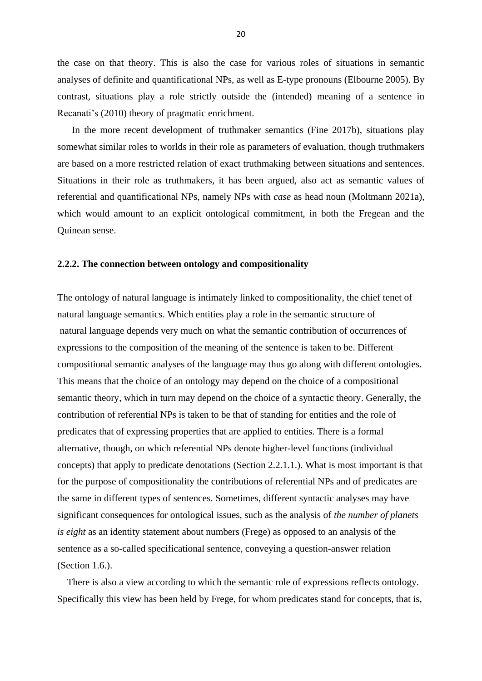the case on that theory. This is also the case for various roles of situations in semantic analyses of definite and quantificational NPs, as well as E-type pronouns (Elbourne 2005). By contrast, situations play a role strictly outside the (intended) meaning of a sentence in Recanati's (2010) theory of pragmatic enrichment.

 In the more recent development of truthmaker semantics (Fine 2017b), situations play somewhat similar roles to worlds in their role as parameters of evaluation, though truthmakers are based on a more restricted relation of exact truthmaking between situations and sentences. Situations in their role as truthmakers, it has been argued, also act as semantic values of referential and quantificational NPs, namely NPs with *case* as head noun (Moltmann 2021a), which would amount to an explicit ontological commitment, in both the Fregean and the Quinean sense.

# **2.2.2. The connection between ontology and compositionality**

The ontology of natural language is intimately linked to compositionality, the chief tenet of natural language semantics. Which entities play a role in the semantic structure of natural language depends very much on what the semantic contribution of occurrences of expressions to the composition of the meaning of the sentence is taken to be. Different compositional semantic analyses of the language may thus go along with different ontologies. This means that the choice of an ontology may depend on the choice of a compositional semantic theory, which in turn may depend on the choice of a syntactic theory. Generally, the contribution of referential NPs is taken to be that of standing for entities and the role of predicates that of expressing properties that are applied to entities. There is a formal alternative, though, on which referential NPs denote higher-level functions (individual concepts) that apply to predicate denotations (Section 2.2.1.1.). What is most important is that for the purpose of compositionality the contributions of referential NPs and of predicates are the same in different types of sentences. Sometimes, different syntactic analyses may have significant consequences for ontological issues, such as the analysis of *the number of planets is eight* as an identity statement about numbers (Frege) as opposed to an analysis of the sentence as a so-called specificational sentence, conveying a question-answer relation (Section 1.6.).

 There is also a view according to which the semantic role of expressions reflects ontology. Specifically this view has been held by Frege, for whom predicates stand for concepts, that is,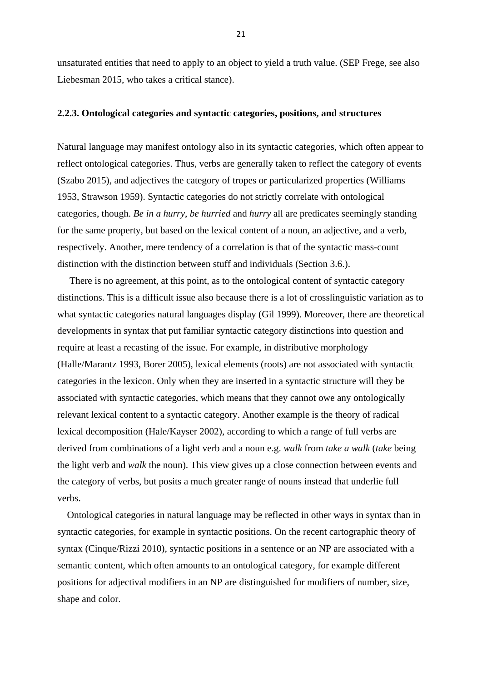unsaturated entities that need to apply to an object to yield a truth value. (SEP Frege, see also Liebesman 2015, who takes a critical stance).

#### **2.2.3. Ontological categories and syntactic categories, positions, and structures**

Natural language may manifest ontology also in its syntactic categories, which often appear to reflect ontological categories. Thus, verbs are generally taken to reflect the category of events (Szabo 2015), and adjectives the category of tropes or particularized properties (Williams 1953, Strawson 1959). Syntactic categories do not strictly correlate with ontological categories, though. *Be in a hurry*, *be hurried* and *hurry* all are predicates seemingly standing for the same property, but based on the lexical content of a noun, an adjective, and a verb, respectively. Another, mere tendency of a correlation is that of the syntactic mass-count distinction with the distinction between stuff and individuals (Section 3.6.).

 There is no agreement, at this point, as to the ontological content of syntactic category distinctions. This is a difficult issue also because there is a lot of crosslinguistic variation as to what syntactic categories natural languages display (Gil 1999). Moreover, there are theoretical developments in syntax that put familiar syntactic category distinctions into question and require at least a recasting of the issue. For example, in distributive morphology (Halle/Marantz 1993, Borer 2005), lexical elements (roots) are not associated with syntactic categories in the lexicon. Only when they are inserted in a syntactic structure will they be associated with syntactic categories, which means that they cannot owe any ontologically relevant lexical content to a syntactic category. Another example is the theory of radical lexical decomposition (Hale/Kayser 2002), according to which a range of full verbs are derived from combinations of a light verb and a noun e.g. *walk* from *take a walk* (*take* being the light verb and *walk* the noun). This view gives up a close connection between events and the category of verbs, but posits a much greater range of nouns instead that underlie full verbs.

 Ontological categories in natural language may be reflected in other ways in syntax than in syntactic categories, for example in syntactic positions. On the recent cartographic theory of syntax (Cinque/Rizzi 2010), syntactic positions in a sentence or an NP are associated with a semantic content, which often amounts to an ontological category, for example different positions for adjectival modifiers in an NP are distinguished for modifiers of number, size, shape and color.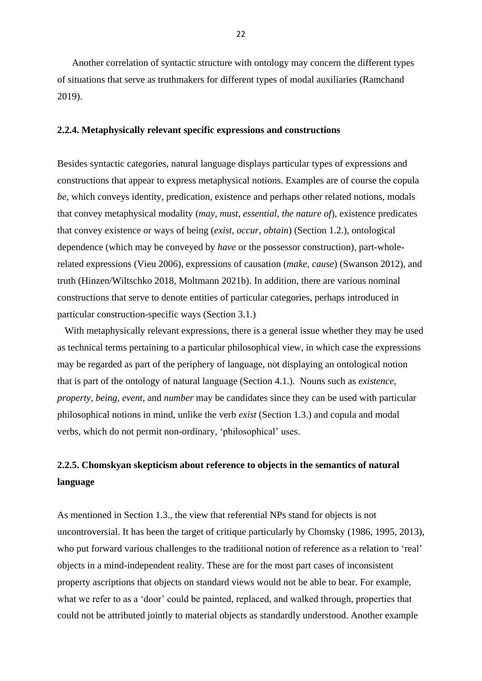Another correlation of syntactic structure with ontology may concern the different types of situations that serve as truthmakers for different types of modal auxiliaries (Ramchand 2019).

#### **2.2.4. Metaphysically relevant specific expressions and constructions**

Besides syntactic categories, natural language displays particular types of expressions and constructions that appear to express metaphysical notions. Examples are of course the copula *be*, which conveys identity, predication, existence and perhaps other related notions, modals that convey metaphysical modality (*may, must, essential, the nature of*), existence predicates that convey existence or ways of being (*exist, occur, obtain*) (Section 1.2.), ontological dependence (which may be conveyed by *have* or the possessor construction), part-wholerelated expressions (Vieu 2006), expressions of causation (*make, cause*) (Swanson 2012), and truth (Hinzen/Wiltschko 2018, Moltmann 2021b). In addition, there are various nominal constructions that serve to denote entities of particular categories, perhaps introduced in particular construction-specific ways (Section 3.1.)

 With metaphysically relevant expressions, there is a general issue whether they may be used as technical terms pertaining to a particular philosophical view, in which case the expressions may be regarded as part of the periphery of language, not displaying an ontological notion that is part of the ontology of natural language (Section 4.1.). Nouns such as *existence, property, being, event,* and *number* may be candidates since they can be used with particular philosophical notions in mind, unlike the verb *exist* (Section 1.3.) and copula and modal verbs, which do not permit non-ordinary, 'philosophical' uses.

# **2.2.5. Chomskyan skepticism about reference to objects in the semantics of natural language**

As mentioned in Section 1.3., the view that referential NPs stand for objects is not uncontroversial. It has been the target of critique particularly by Chomsky (1986, 1995, 2013), who put forward various challenges to the traditional notion of reference as a relation to 'real' objects in a mind-independent reality. These are for the most part cases of inconsistent property ascriptions that objects on standard views would not be able to bear. For example, what we refer to as a 'door' could be painted, replaced, and walked through, properties that could not be attributed jointly to material objects as standardly understood. Another example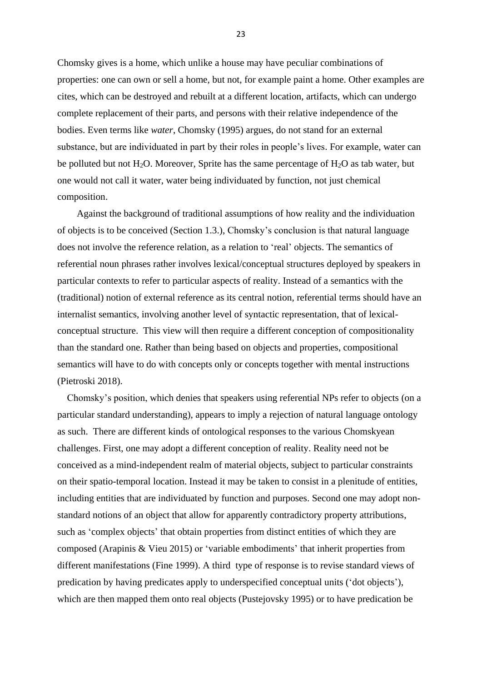Chomsky gives is a home, which unlike a house may have peculiar combinations of properties: one can own or sell a home, but not, for example paint a home. Other examples are cites, which can be destroyed and rebuilt at a different location, artifacts, which can undergo complete replacement of their parts, and persons with their relative independence of the bodies. Even terms like *water*, Chomsky (1995) argues, do not stand for an external substance, but are individuated in part by their roles in people's lives. For example, water can be polluted but not  $H_2O$ . Moreover, Sprite has the same percentage of  $H_2O$  as tab water, but one would not call it water, water being individuated by function, not just chemical composition.

 Against the background of traditional assumptions of how reality and the individuation of objects is to be conceived (Section 1.3.), Chomsky's conclusion is that natural language does not involve the reference relation, as a relation to 'real' objects. The semantics of referential noun phrases rather involves lexical/conceptual structures deployed by speakers in particular contexts to refer to particular aspects of reality. Instead of a semantics with the (traditional) notion of external reference as its central notion, referential terms should have an internalist semantics, involving another level of syntactic representation, that of lexicalconceptual structure. This view will then require a different conception of compositionality than the standard one. Rather than being based on objects and properties, compositional semantics will have to do with concepts only or concepts together with mental instructions (Pietroski 2018).

 Chomsky's position, which denies that speakers using referential NPs refer to objects (on a particular standard understanding), appears to imply a rejection of natural language ontology as such. There are different kinds of ontological responses to the various Chomskyean challenges. First, one may adopt a different conception of reality. Reality need not be conceived as a mind-independent realm of material objects, subject to particular constraints on their spatio-temporal location. Instead it may be taken to consist in a plenitude of entities, including entities that are individuated by function and purposes. Second one may adopt nonstandard notions of an object that allow for apparently contradictory property attributions, such as 'complex objects' that obtain properties from distinct entities of which they are composed (Arapinis & Vieu 2015) or 'variable embodiments' that inherit properties from different manifestations (Fine 1999). A third type of response is to revise standard views of predication by having predicates apply to underspecified conceptual units ('dot objects'), which are then mapped them onto real objects (Pustejovsky 1995) or to have predication be

23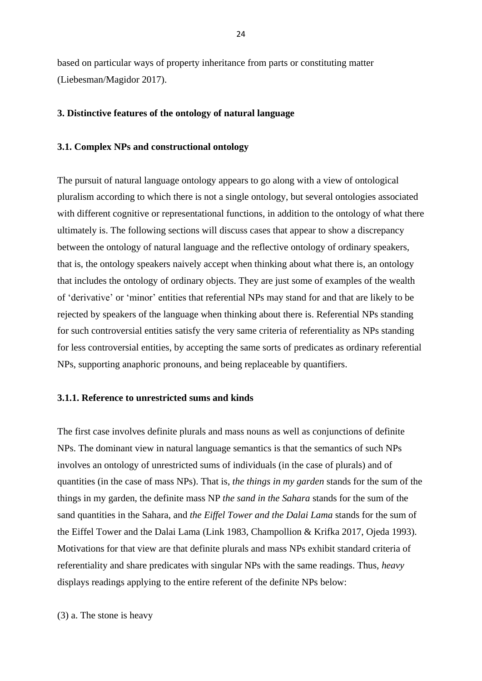based on particular ways of property inheritance from parts or constituting matter (Liebesman/Magidor 2017).

#### **3. Distinctive features of the ontology of natural language**

#### **3.1. Complex NPs and constructional ontology**

The pursuit of natural language ontology appears to go along with a view of ontological pluralism according to which there is not a single ontology, but several ontologies associated with different cognitive or representational functions, in addition to the ontology of what there ultimately is. The following sections will discuss cases that appear to show a discrepancy between the ontology of natural language and the reflective ontology of ordinary speakers, that is, the ontology speakers naively accept when thinking about what there is, an ontology that includes the ontology of ordinary objects. They are just some of examples of the wealth of 'derivative' or 'minor' entities that referential NPs may stand for and that are likely to be rejected by speakers of the language when thinking about there is. Referential NPs standing for such controversial entities satisfy the very same criteria of referentiality as NPs standing for less controversial entities, by accepting the same sorts of predicates as ordinary referential NPs, supporting anaphoric pronouns, and being replaceable by quantifiers.

#### **3.1.1. Reference to unrestricted sums and kinds**

The first case involves definite plurals and mass nouns as well as conjunctions of definite NPs. The dominant view in natural language semantics is that the semantics of such NPs involves an ontology of unrestricted sums of individuals (in the case of plurals) and of quantities (in the case of mass NPs). That is, *the things in my garden* stands for the sum of the things in my garden, the definite mass NP *the sand in the Sahara* stands for the sum of the sand quantities in the Sahara, and *the Eiffel Tower and the Dalai Lama* stands for the sum of the Eiffel Tower and the Dalai Lama (Link 1983, Champollion & Krifka 2017, Ojeda 1993). Motivations for that view are that definite plurals and mass NPs exhibit standard criteria of referentiality and share predicates with singular NPs with the same readings. Thus, *heavy* displays readings applying to the entire referent of the definite NPs below:

(3) a. The stone is heavy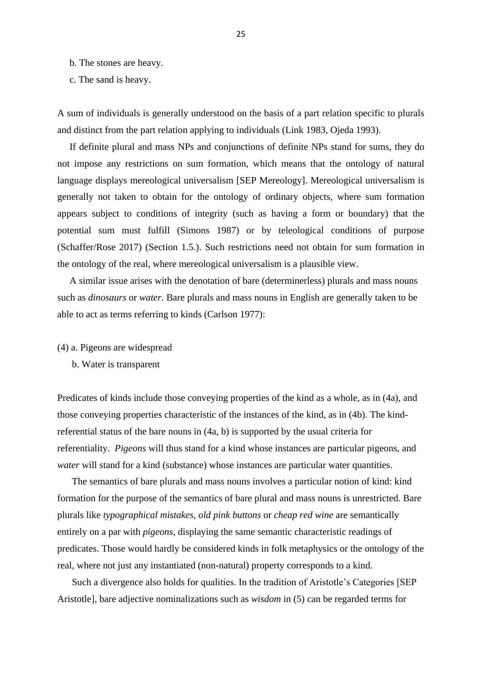- b. The stones are heavy.
- c. The sand is heavy.

A sum of individuals is generally understood on the basis of a part relation specific to plurals and distinct from the part relation applying to individuals (Link 1983, Ojeda 1993).

 If definite plural and mass NPs and conjunctions of definite NPs stand for sums, they do not impose any restrictions on sum formation, which means that the ontology of natural language displays mereological universalism [SEP Mereology]. Mereological universalism is generally not taken to obtain for the ontology of ordinary objects, where sum formation appears subject to conditions of integrity (such as having a form or boundary) that the potential sum must fulfill (Simons 1987) or by teleological conditions of purpose (Schaffer/Rose 2017) (Section 1.5.). Such restrictions need not obtain for sum formation in the ontology of the real, where mereological universalism is a plausible view.

 A similar issue arises with the denotation of bare (determinerless) plurals and mass nouns such as *dinosaurs* or *water.* Bare plurals and mass nouns in English are generally taken to be able to act as terms referring to kinds (Carlson 1977):

- (4) a. Pigeons are widespread
	- b. Water is transparent

Predicates of kinds include those conveying properties of the kind as a whole, as in (4a), and those conveying properties characteristic of the instances of the kind, as in (4b). The kindreferential status of the bare nouns in (4a, b) is supported by the usual criteria for referentiality. *Pigeons* will thus stand for a kind whose instances are particular pigeons, and *water* will stand for a kind (substance) whose instances are particular water quantities.

 The semantics of bare plurals and mass nouns involves a particular notion of kind: kind formation for the purpose of the semantics of bare plural and mass nouns is unrestricted. Bare plurals like *typographical mistakes*, *old pink buttons* or *cheap red wine* are semantically entirely on a par with *pigeons*, displaying the same semantic characteristic readings of predicates. Those would hardly be considered kinds in folk metaphysics or the ontology of the real, where not just any instantiated (non-natural) property corresponds to a kind.

 Such a divergence also holds for qualities. In the tradition of Aristotle's Categories [SEP Aristotle], bare adjective nominalizations such as *wisdom* in (5) can be regarded terms for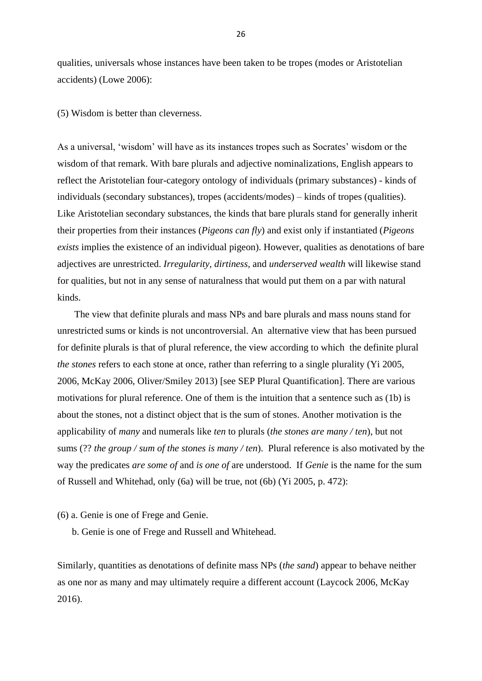qualities, universals whose instances have been taken to be tropes (modes or Aristotelian accidents) (Lowe 2006):

(5) Wisdom is better than cleverness.

As a universal, 'wisdom' will have as its instances tropes such as Socrates' wisdom or the wisdom of that remark. With bare plurals and adjective nominalizations, English appears to reflect the Aristotelian four-category ontology of individuals (primary substances) - kinds of individuals (secondary substances), tropes (accidents/modes) – kinds of tropes (qualities). Like Aristotelian secondary substances, the kinds that bare plurals stand for generally inherit their properties from their instances (*Pigeons can fly*) and exist only if instantiated (*Pigeons exists* implies the existence of an individual pigeon). However, qualities as denotations of bare adjectives are unrestricted. *Irregularity, dirtiness,* and *underserved wealth* will likewise stand for qualities, but not in any sense of naturalness that would put them on a par with natural kinds.

 The view that definite plurals and mass NPs and bare plurals and mass nouns stand for unrestricted sums or kinds is not uncontroversial. An alternative view that has been pursued for definite plurals is that of plural reference, the view according to which the definite plural *the stones* refers to each stone at once, rather than referring to a single plurality (Yi 2005, 2006, McKay 2006, Oliver/Smiley 2013) [see SEP Plural Quantification]. There are various motivations for plural reference. One of them is the intuition that a sentence such as (1b) is about the stones, not a distinct object that is the sum of stones. Another motivation is the applicability of *many* and numerals like *ten* to plurals (*the stones are many / ten*), but not sums (?? *the group / sum of the stones is many / ten*). Plural reference is also motivated by the way the predicates *are some of* and *is one of* are understood. If *Genie* is the name for the sum of Russell and Whitehad, only (6a) will be true, not (6b) (Yi 2005, p. 472):

(6) a. Genie is one of Frege and Genie.

b. Genie is one of Frege and Russell and Whitehead.

Similarly, quantities as denotations of definite mass NPs (*the sand*) appear to behave neither as one nor as many and may ultimately require a different account (Laycock 2006, McKay 2016).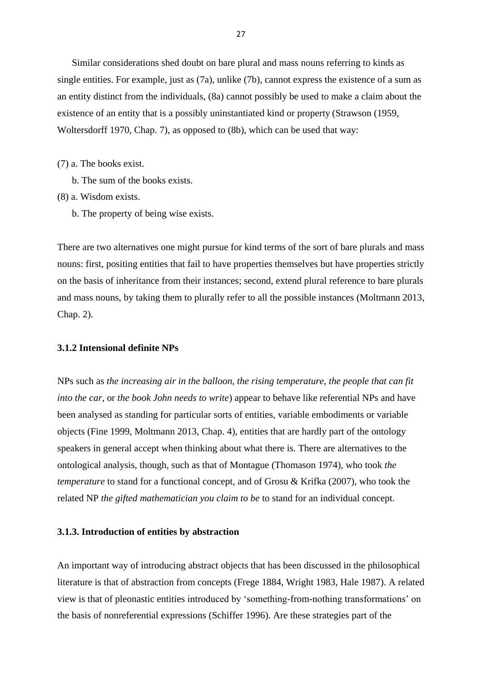Similar considerations shed doubt on bare plural and mass nouns referring to kinds as single entities. For example, just as (7a), unlike (7b), cannot express the existence of a sum as an entity distinct from the individuals, (8a) cannot possibly be used to make a claim about the existence of an entity that is a possibly uninstantiated kind or property (Strawson (1959, Woltersdorff 1970, Chap. 7), as opposed to (8b), which can be used that way:

(7) a. The books exist.

b. The sum of the books exists.

(8) a. Wisdom exists.

b. The property of being wise exists.

There are two alternatives one might pursue for kind terms of the sort of bare plurals and mass nouns: first, positing entities that fail to have properties themselves but have properties strictly on the basis of inheritance from their instances; second, extend plural reference to bare plurals and mass nouns, by taking them to plurally refer to all the possible instances (Moltmann 2013, Chap. 2).

#### **3.1.2 Intensional definite NPs**

NPs such as *the increasing air in the balloon, the rising temperature*, *the people that can fit into the car*, or *the book John needs to write*) appear to behave like referential NPs and have been analysed as standing for particular sorts of entities, variable embodiments or variable objects (Fine 1999, Moltmann 2013, Chap. 4), entities that are hardly part of the ontology speakers in general accept when thinking about what there is. There are alternatives to the ontological analysis, though, such as that of Montague (Thomason 1974), who took *the temperature* to stand for a functional concept, and of Grosu & Krifka (2007), who took the related NP *the gifted mathematician you claim to be* to stand for an individual concept.

#### **3.1.3. Introduction of entities by abstraction**

An important way of introducing abstract objects that has been discussed in the philosophical literature is that of abstraction from concepts (Frege 1884, Wright 1983, Hale 1987). A related view is that of pleonastic entities introduced by 'something-from-nothing transformations' on the basis of nonreferential expressions (Schiffer 1996). Are these strategies part of the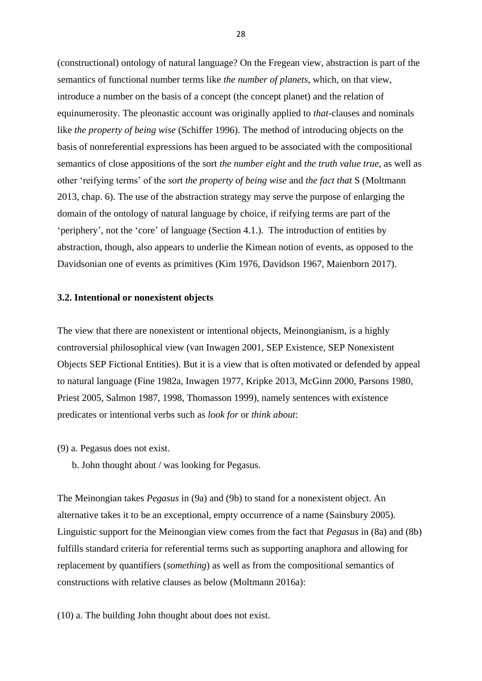(constructional) ontology of natural language? On the Fregean view, abstraction is part of the semantics of functional number terms like *the number of planets*, which, on that view, introduce a number on the basis of a concept (the concept planet) and the relation of equinumerosity. The pleonastic account was originally applied to *that-*clauses and nominals like *the property of being wise* (Schiffer 1996). The method of introducing objects on the basis of nonreferential expressions has been argued to be associated with the compositional semantics of close appositions of the sort *the number eight* and *the truth value true*, as well as other 'reifying terms' of the sort *the property of being wise* and *the fact that* S (Moltmann 2013, chap. 6). The use of the abstraction strategy may serve the purpose of enlarging the domain of the ontology of natural language by choice, if reifying terms are part of the 'periphery', not the 'core' of language (Section 4.1.). The introduction of entities by abstraction, though, also appears to underlie the Kimean notion of events, as opposed to the Davidsonian one of events as primitives (Kim 1976, Davidson 1967, Maienborn 2017).

#### **3.2. Intentional or nonexistent objects**

The view that there are nonexistent or intentional objects, Meinongianism, is a highly controversial philosophical view (van Inwagen 2001, SEP Existence, SEP Nonexistent Objects SEP Fictional Entities). But it is a view that is often motivated or defended by appeal to natural language (Fine 1982a, Inwagen 1977, Kripke 2013, McGinn 2000, Parsons 1980, Priest 2005, Salmon 1987, 1998, Thomasson 1999), namely sentences with existence predicates or intentional verbs such as *look for* or *think about*:

- (9) a. Pegasus does not exist.
	- b. John thought about / was looking for Pegasus.

The Meinongian takes *Pegasus* in (9a) and (9b) to stand for a nonexistent object. An alternative takes it to be an exceptional, empty occurrence of a name (Sainsbury 2005). Linguistic support for the Meinongian view comes from the fact that *Pegasus* in (8a) and (8b) fulfills standard criteria for referential terms such as supporting anaphora and allowing for replacement by quantifiers (*something*) as well as from the compositional semantics of constructions with relative clauses as below (Moltmann 2016a):

(10) a. The building John thought about does not exist.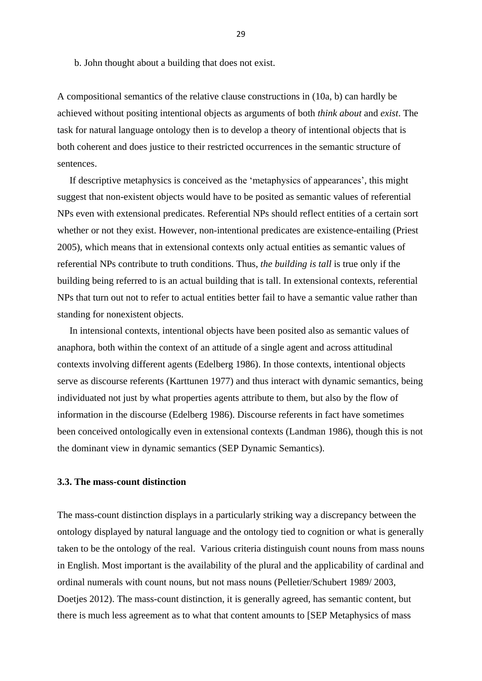b. John thought about a building that does not exist.

A compositional semantics of the relative clause constructions in (10a, b) can hardly be achieved without positing intentional objects as arguments of both *think about* and *exist*. The task for natural language ontology then is to develop a theory of intentional objects that is both coherent and does justice to their restricted occurrences in the semantic structure of sentences.

 If descriptive metaphysics is conceived as the 'metaphysics of appearances', this might suggest that non-existent objects would have to be posited as semantic values of referential NPs even with extensional predicates. Referential NPs should reflect entities of a certain sort whether or not they exist. However, non-intentional predicates are existence-entailing (Priest 2005), which means that in extensional contexts only actual entities as semantic values of referential NPs contribute to truth conditions. Thus, *the building is tall* is true only if the building being referred to is an actual building that is tall. In extensional contexts, referential NPs that turn out not to refer to actual entities better fail to have a semantic value rather than standing for nonexistent objects.

 In intensional contexts, intentional objects have been posited also as semantic values of anaphora, both within the context of an attitude of a single agent and across attitudinal contexts involving different agents (Edelberg 1986). In those contexts, intentional objects serve as discourse referents (Karttunen 1977) and thus interact with dynamic semantics, being individuated not just by what properties agents attribute to them, but also by the flow of information in the discourse (Edelberg 1986). Discourse referents in fact have sometimes been conceived ontologically even in extensional contexts (Landman 1986), though this is not the dominant view in dynamic semantics (SEP Dynamic Semantics).

# **3.3. The mass-count distinction**

The mass-count distinction displays in a particularly striking way a discrepancy between the ontology displayed by natural language and the ontology tied to cognition or what is generally taken to be the ontology of the real. Various criteria distinguish count nouns from mass nouns in English. Most important is the availability of the plural and the applicability of cardinal and ordinal numerals with count nouns, but not mass nouns (Pelletier/Schubert 1989/ 2003, Doetjes 2012). The mass-count distinction, it is generally agreed, has semantic content, but there is much less agreement as to what that content amounts to [SEP Metaphysics of mass

29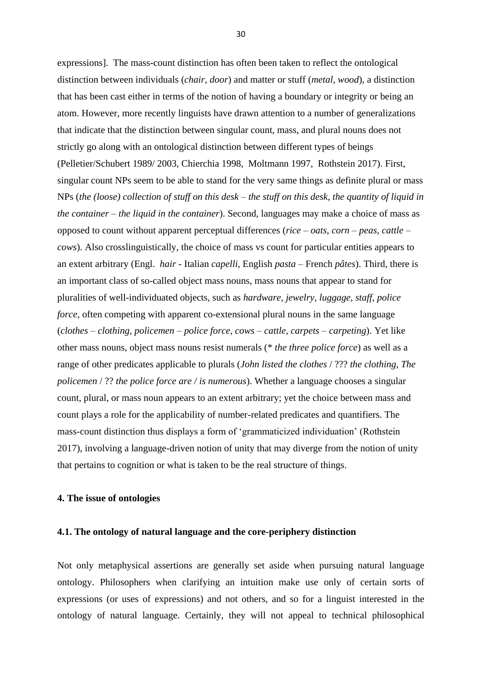expressions]. The mass-count distinction has often been taken to reflect the ontological distinction between individuals (*chair, door*) and matter or stuff (*metal, wood*), a distinction that has been cast either in terms of the notion of having a boundary or integrity or being an atom. However, more recently linguists have drawn attention to a number of generalizations that indicate that the distinction between singular count, mass, and plural nouns does not strictly go along with an ontological distinction between different types of beings (Pelletier/Schubert 1989/ 2003, Chierchia 1998, Moltmann 1997, Rothstein 2017). First, singular count NPs seem to be able to stand for the very same things as definite plural or mass NPs (*the (loose) collection of stuff on this desk – the stuff on this desk, the quantity of liquid in the container – the liquid in the container*). Second, languages may make a choice of mass as opposed to count without apparent perceptual differences (*rice – oats*, *corn – peas*, *cattle – cows*). Also crosslinguistically, the choice of mass vs count for particular entities appears to an extent arbitrary (Engl. *hair* - Italian *capelli*, English *pasta* – French *pâtes*). Third, there is an important class of so-called object mass nouns, mass nouns that appear to stand for pluralities of well-individuated objects, such as *hardware, jewelry, luggage, staff*, *police force*, often competing with apparent co-extensional plural nouns in the same language (*clothes – clothing, policemen – police force, cows – cattle, carpets – carpeting*). Yet like other mass nouns, object mass nouns resist numerals (\* *the three police force*) as well as a range of other predicates applicable to plurals (*John listed the clothes* / ??? *the clothing*, *The policemen* / ?? *the police force are / is numerous*). Whether a language chooses a singular count, plural, or mass noun appears to an extent arbitrary; yet the choice between mass and count plays a role for the applicability of number-related predicates and quantifiers. The mass-count distinction thus displays a form of 'grammaticized individuation' (Rothstein 2017), involving a language-driven notion of unity that may diverge from the notion of unity that pertains to cognition or what is taken to be the real structure of things.

#### **4. The issue of ontologies**

#### **4.1. The ontology of natural language and the core-periphery distinction**

Not only metaphysical assertions are generally set aside when pursuing natural language ontology. Philosophers when clarifying an intuition make use only of certain sorts of expressions (or uses of expressions) and not others, and so for a linguist interested in the ontology of natural language. Certainly, they will not appeal to technical philosophical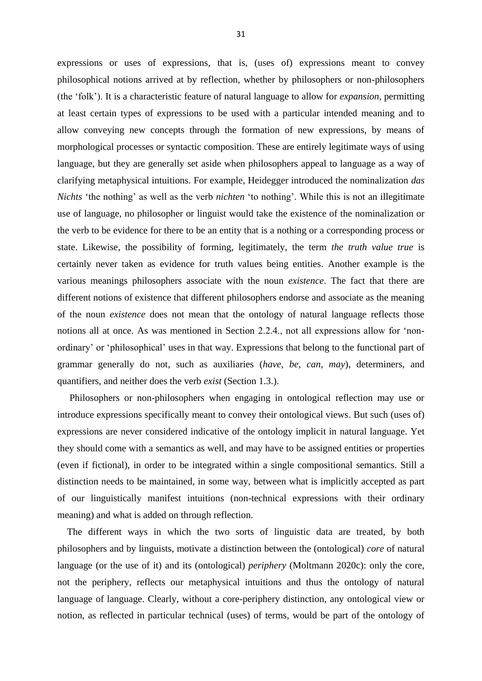expressions or uses of expressions, that is, (uses of) expressions meant to convey philosophical notions arrived at by reflection, whether by philosophers or non-philosophers (the 'folk'). It is a characteristic feature of natural language to allow for *expansion*, permitting at least certain types of expressions to be used with a particular intended meaning and to allow conveying new concepts through the formation of new expressions, by means of morphological processes or syntactic composition. These are entirely legitimate ways of using language, but they are generally set aside when philosophers appeal to language as a way of clarifying metaphysical intuitions. For example, Heidegger introduced the nominalization *das Nichts* 'the nothing' as well as the verb *nichten* 'to nothing'. While this is not an illegitimate use of language, no philosopher or linguist would take the existence of the nominalization or the verb to be evidence for there to be an entity that is a nothing or a corresponding process or state. Likewise, the possibility of forming, legitimately, the term *the truth value true* is certainly never taken as evidence for truth values being entities. Another example is the various meanings philosophers associate with the noun *existence*. The fact that there are different notions of existence that different philosophers endorse and associate as the meaning of the noun *existence* does not mean that the ontology of natural language reflects those notions all at once. As was mentioned in Section 2.2.4., not all expressions allow for 'nonordinary' or 'philosophical' uses in that way. Expressions that belong to the functional part of grammar generally do not, such as auxiliaries (*have, be*, *can, may*), determiners, and quantifiers, and neither does the verb *exist* (Section 1.3.).

 Philosophers or non-philosophers when engaging in ontological reflection may use or introduce expressions specifically meant to convey their ontological views. But such (uses of) expressions are never considered indicative of the ontology implicit in natural language. Yet they should come with a semantics as well, and may have to be assigned entities or properties (even if fictional), in order to be integrated within a single compositional semantics. Still a distinction needs to be maintained, in some way, between what is implicitly accepted as part of our linguistically manifest intuitions (non-technical expressions with their ordinary meaning) and what is added on through reflection.

 The different ways in which the two sorts of linguistic data are treated, by both philosophers and by linguists, motivate a distinction between the (ontological) *core* of natural language (or the use of it) and its (ontological) *periphery* (Moltmann 2020c): only the core, not the periphery, reflects our metaphysical intuitions and thus the ontology of natural language of language. Clearly, without a core-periphery distinction, any ontological view or notion, as reflected in particular technical (uses) of terms, would be part of the ontology of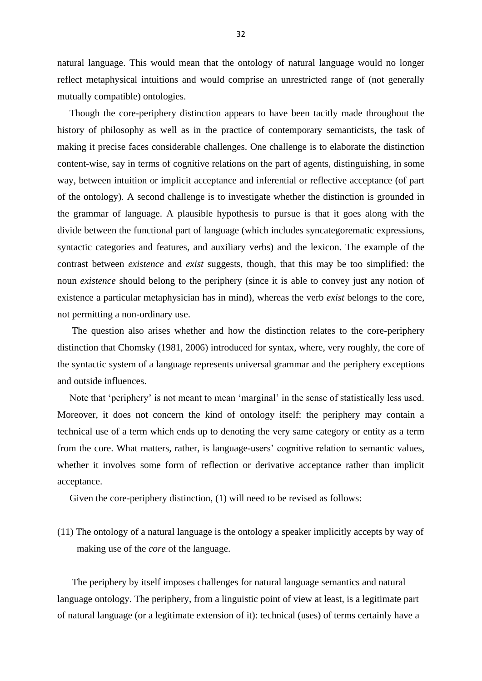natural language. This would mean that the ontology of natural language would no longer reflect metaphysical intuitions and would comprise an unrestricted range of (not generally mutually compatible) ontologies.

 Though the core-periphery distinction appears to have been tacitly made throughout the history of philosophy as well as in the practice of contemporary semanticists, the task of making it precise faces considerable challenges. One challenge is to elaborate the distinction content-wise, say in terms of cognitive relations on the part of agents, distinguishing, in some way, between intuition or implicit acceptance and inferential or reflective acceptance (of part of the ontology). A second challenge is to investigate whether the distinction is grounded in the grammar of language. A plausible hypothesis to pursue is that it goes along with the divide between the functional part of language (which includes syncategorematic expressions, syntactic categories and features, and auxiliary verbs) and the lexicon. The example of the contrast between *existence* and *exist* suggests, though, that this may be too simplified: the noun *existence* should belong to the periphery (since it is able to convey just any notion of existence a particular metaphysician has in mind), whereas the verb *exist* belongs to the core, not permitting a non-ordinary use.

 The question also arises whether and how the distinction relates to the core-periphery distinction that Chomsky (1981, 2006) introduced for syntax, where, very roughly, the core of the syntactic system of a language represents universal grammar and the periphery exceptions and outside influences.

 Note that 'periphery' is not meant to mean 'marginal' in the sense of statistically less used. Moreover, it does not concern the kind of ontology itself: the periphery may contain a technical use of a term which ends up to denoting the very same category or entity as a term from the core. What matters, rather, is language-users' cognitive relation to semantic values, whether it involves some form of reflection or derivative acceptance rather than implicit acceptance.

Given the core-periphery distinction, (1) will need to be revised as follows:

(11) The ontology of a natural language is the ontology a speaker implicitly accepts by way of making use of the *core* of the language.

 The periphery by itself imposes challenges for natural language semantics and natural language ontology. The periphery, from a linguistic point of view at least, is a legitimate part of natural language (or a legitimate extension of it): technical (uses) of terms certainly have a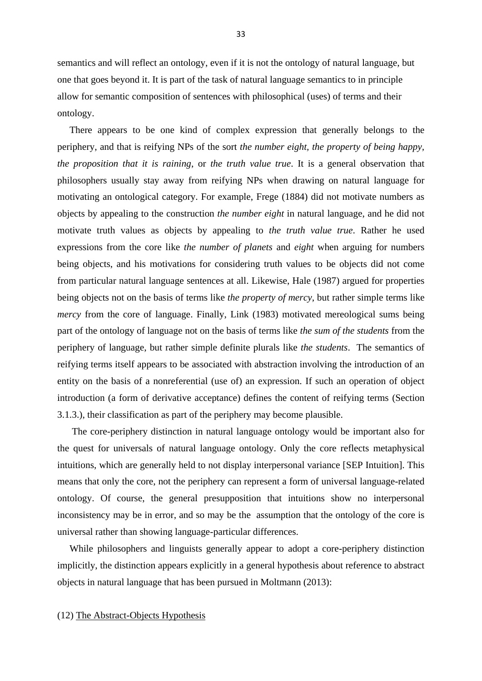semantics and will reflect an ontology, even if it is not the ontology of natural language, but one that goes beyond it. It is part of the task of natural language semantics to in principle allow for semantic composition of sentences with philosophical (uses) of terms and their ontology.

 There appears to be one kind of complex expression that generally belongs to the periphery, and that is reifying NPs of the sort *the number eight, the property of being happy, the proposition that it is raining*, or *the truth value true*. It is a general observation that philosophers usually stay away from reifying NPs when drawing on natural language for motivating an ontological category. For example, Frege (1884) did not motivate numbers as objects by appealing to the construction *the number eight* in natural language, and he did not motivate truth values as objects by appealing to *the truth value true*. Rather he used expressions from the core like *the number of planets* and *eight* when arguing for numbers being objects, and his motivations for considering truth values to be objects did not come from particular natural language sentences at all. Likewise, Hale (1987) argued for properties being objects not on the basis of terms like *the property of mercy*, but rather simple terms like *mercy* from the core of language. Finally, Link (1983) motivated mereological sums being part of the ontology of language not on the basis of terms like *the sum of the students* from the periphery of language, but rather simple definite plurals like *the students*. The semantics of reifying terms itself appears to be associated with abstraction involving the introduction of an entity on the basis of a nonreferential (use of) an expression. If such an operation of object introduction (a form of derivative acceptance) defines the content of reifying terms (Section 3.1.3.), their classification as part of the periphery may become plausible.

 The core-periphery distinction in natural language ontology would be important also for the quest for universals of natural language ontology. Only the core reflects metaphysical intuitions, which are generally held to not display interpersonal variance [SEP Intuition]. This means that only the core, not the periphery can represent a form of universal language-related ontology. Of course, the general presupposition that intuitions show no interpersonal inconsistency may be in error, and so may be the assumption that the ontology of the core is universal rather than showing language-particular differences.

 While philosophers and linguists generally appear to adopt a core-periphery distinction implicitly, the distinction appears explicitly in a general hypothesis about reference to abstract objects in natural language that has been pursued in Moltmann (2013):

# (12) The Abstract-Objects Hypothesis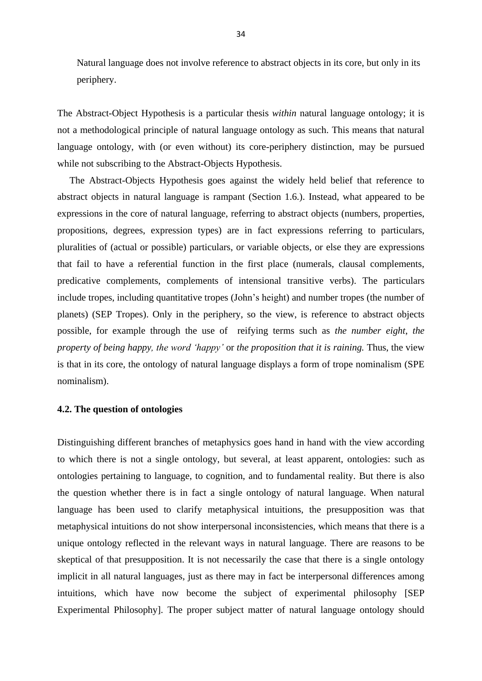Natural language does not involve reference to abstract objects in its core, but only in its periphery.

The Abstract-Object Hypothesis is a particular thesis *within* natural language ontology; it is not a methodological principle of natural language ontology as such. This means that natural language ontology, with (or even without) its core-periphery distinction, may be pursued while not subscribing to the Abstract-Objects Hypothesis.

 The Abstract-Objects Hypothesis goes against the widely held belief that reference to abstract objects in natural language is rampant (Section 1.6.). Instead, what appeared to be expressions in the core of natural language, referring to abstract objects (numbers, properties, propositions, degrees, expression types) are in fact expressions referring to particulars, pluralities of (actual or possible) particulars, or variable objects, or else they are expressions that fail to have a referential function in the first place (numerals, clausal complements, predicative complements, complements of intensional transitive verbs). The particulars include tropes, including quantitative tropes (John's height) and number tropes (the number of planets) (SEP Tropes). Only in the periphery, so the view, is reference to abstract objects possible, for example through the use of reifying terms such as *the number eight*, *the property of being happy, the word 'happy'* or *the proposition that it is raining.* Thus, the view is that in its core, the ontology of natural language displays a form of trope nominalism (SPE nominalism).

#### **4.2. The question of ontologies**

Distinguishing different branches of metaphysics goes hand in hand with the view according to which there is not a single ontology, but several, at least apparent, ontologies: such as ontologies pertaining to language, to cognition, and to fundamental reality. But there is also the question whether there is in fact a single ontology of natural language. When natural language has been used to clarify metaphysical intuitions, the presupposition was that metaphysical intuitions do not show interpersonal inconsistencies, which means that there is a unique ontology reflected in the relevant ways in natural language. There are reasons to be skeptical of that presupposition. It is not necessarily the case that there is a single ontology implicit in all natural languages, just as there may in fact be interpersonal differences among intuitions, which have now become the subject of experimental philosophy [SEP Experimental Philosophy]. The proper subject matter of natural language ontology should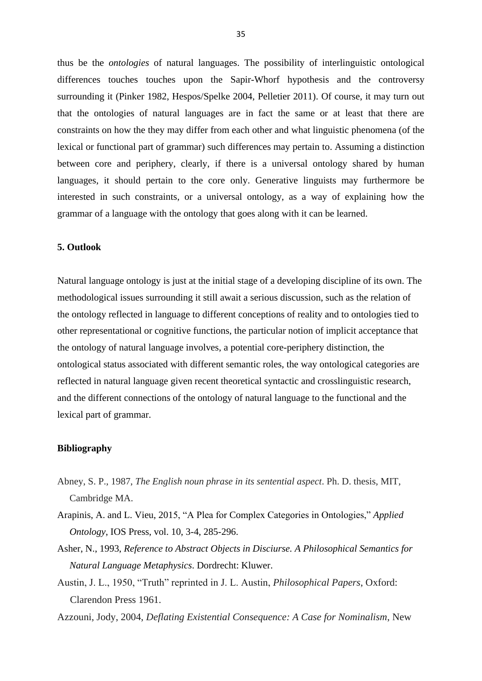thus be the *ontologies* of natural languages. The possibility of interlinguistic ontological differences touches touches upon the Sapir-Whorf hypothesis and the controversy surrounding it (Pinker 1982, Hespos/Spelke 2004, Pelletier 2011). Of course, it may turn out that the ontologies of natural languages are in fact the same or at least that there are constraints on how the they may differ from each other and what linguistic phenomena (of the lexical or functional part of grammar) such differences may pertain to. Assuming a distinction between core and periphery, clearly, if there is a universal ontology shared by human languages, it should pertain to the core only. Generative linguists may furthermore be interested in such constraints, or a universal ontology, as a way of explaining how the grammar of a language with the ontology that goes along with it can be learned.

#### **5. Outlook**

Natural language ontology is just at the initial stage of a developing discipline of its own. The methodological issues surrounding it still await a serious discussion, such as the relation of the ontology reflected in language to different conceptions of reality and to ontologies tied to other representational or cognitive functions, the particular notion of implicit acceptance that the ontology of natural language involves, a potential core-periphery distinction, the ontological status associated with different semantic roles, the way ontological categories are reflected in natural language given recent theoretical syntactic and crosslinguistic research, and the different connections of the ontology of natural language to the functional and the lexical part of grammar.

#### **Bibliography**

- Abney, S. P., 1987, *The English noun phrase in its sentential aspect*. Ph. D. thesis, MIT, Cambridge MA.
- Arapinis, A. and L. Vieu, 2015, "A Plea for Complex Categories in Ontologies," *Applied Ontology*, IOS Press, vol. 10, 3-4, 285-296.
- Asher, N., 1993, *Reference to Abstract Objects in Disciurse. A Philosophical Semantics for Natural Language Metaphysics*. Dordrecht: Kluwer.
- Austin, J. L., 1950, "Truth" reprinted in J. L. Austin, *Philosophical Papers*, Oxford: Clarendon Press 1961.
- Azzouni, Jody, 2004, *Deflating Existential Consequence: A Case for Nominalism*, New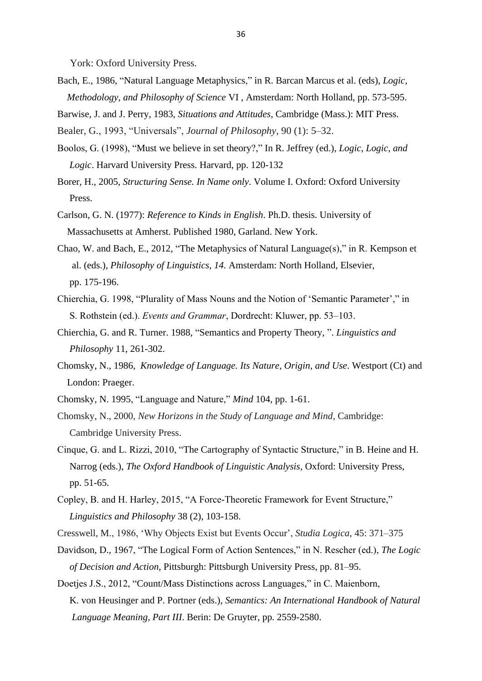York: Oxford University Press.

Bach, E., 1986, "Natural Language Metaphysics," in R. Barcan Marcus et al. (eds), *Logic, Methodology, and Philosophy of Science* VI , Amsterdam: North Holland, pp. 573-595.

Barwise, J. and J. Perry, 1983, *Situations and Attitudes*, Cambridge (Mass.): MIT Press.

Bealer, G., 1993, "Universals", *Journal of Philosophy*, 90 (1): 5–32.

- Boolos, G. (1998), "Must we believe in set theory?," In R. Jeffrey (ed.), *Logic, Logic, and Logic*. Harvard University Press. Harvard, pp. 120-132
- Borer, H., 2005, *Structuring Sense. In Name only*. Volume I. Oxford: Oxford University Press.
- Carlson, G. N. (1977): *Reference to Kinds in English*. Ph.D. thesis. University of Massachusetts at Amherst. Published 1980, Garland. New York.
- Chao, W. and Bach, E., 2012, "The Metaphysics of Natural Language(s)," in R. Kempson et al. (eds.), *Philosophy of Linguistics, 14.* Amsterdam: North Holland, Elsevier, pp. 175-196.
- Chierchia, G. 1998, "Plurality of Mass Nouns and the Notion of 'Semantic Parameter'," in S. Rothstein (ed.). *Events and Grammar*, Dordrecht: Kluwer, pp. 53–103.
- Chierchia, G. and R. Turner. 1988, "Semantics and Property Theory, ". *Linguistics and Philosophy* 11, 261-302.
- Chomsky, N., 1986, *Knowledge of Language. Its Nature, Origin, and Use*. Westport (Ct) and London: Praeger.
- Chomsky, N. 1995, "Language and Nature," *Mind* 104, pp. 1-61.
- Chomsky, N., 2000, *New Horizons in the Study of Language and Mind*, Cambridge: Cambridge University Press.
- Cinque, G. and L. Rizzi, 2010, "The Cartography of Syntactic Structure," in B. Heine and H. Narrog (eds.), *The Oxford Handbook of Linguistic Analysis,* Oxford: University Press, pp. 51-65.
- Copley, B. and H. Harley, 2015, "A Force-Theoretic Framework for Event Structure,"  *Linguistics and Philosophy* 38 (2), 103-158.
- Cresswell, M., 1986, 'Why Objects Exist but Events Occur', *Studia Logica*, 45: 371–375
- Davidson, D., 1967, "The Logical Form of Action Sentences," in N. Rescher (ed.), *The Logic of Decision and Action*, Pittsburgh: Pittsburgh University Press, pp. 81–95.
- Doetjes J.S., 2012, "Count/Mass Distinctions across Languages," in C. Maienborn, K. von Heusinger and P. Portner (eds.), *Semantics: An International Handbook of Natural Language Meaning, Part III*. Berin: De Gruyter, pp. 2559-2580.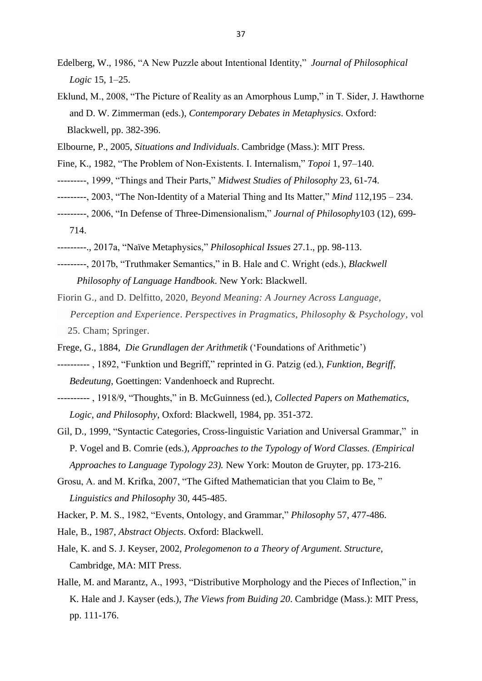- Edelberg, W., 1986, "A New Puzzle about Intentional Identity," *Journal of Philosophical Logic* 15, 1–25.
- Eklund, M., 2008, "The Picture of Reality as an Amorphous Lump," in T. Sider, J. Hawthorne and D. W. Zimmerman (eds.), *Contemporary Debates in Metaphysics*. Oxford: Blackwell, pp. 382-396.
- Elbourne, P., 2005, *Situations and Individuals*. Cambridge (Mass.): MIT Press.
- Fine, K., 1982, "The Problem of Non-Existents. I. Internalism," *Topoi* 1, 97–140.
- ---------, 1999, "Things and Their Parts," *Midwest Studies of Philosophy* 23, 61-74.
- ---------, 2003, "The Non-Identity of a Material Thing and Its Matter," *Mind* 112,195 234.
- ---------, 2006, "In Defense of Three-Dimensionalism," *Journal of Philosophy*103 (12), 699- 714.
- ---------., 2017a, "Naïve Metaphysics," *Philosophical Issues* 27.1., pp. 98-113.
- ---------, 2017b, "Truthmaker Semantics," in B. Hale and C. Wright (eds.), *Blackwell Philosophy of Language Handbook*. New York: Blackwell.
- Fiorin G., and D. Delfitto, 2020, *Beyond Meaning: A Journey Across Language, Perception and Experience*. *Perspectives in Pragmatics, Philosophy & Psychology*, vol 25. Cham; Springer.
- Frege, G., 1884, *Die Grundlagen der Arithmetik* ('Foundations of Arithmetic')
- ---------- , 1892, "Funktion und Begriff," reprinted in G. Patzig (ed.), *Funktion, Begriff, Bedeutung*, Goettingen: Vandenhoeck and Ruprecht.
- ---------- , 1918/9, "Thoughts," in B. McGuinness (ed.), *Collected Papers on Mathematics, Logic, and Philosophy*, Oxford: Blackwell, 1984, pp. 351-372.
- Gil, D., 1999, "Syntactic Categories, Cross-linguistic Variation and Universal Grammar," in P. Vogel and B. Comrie (eds.), *Approaches to the Typology of Word Classes. (Empirical Approaches to Language Typology 23).* New York: Mouton de Gruyter, pp. 173-216.
- Grosu, A. and M. Krifka, 2007, "The Gifted Mathematician that you Claim to Be, " *Linguistics and Philosophy* 30, 445-485.
- Hacker, P. M. S., 1982, "Events, Ontology, and Grammar," *Philosophy* 57, 477-486.
- Hale, B., 1987, *Abstract Objects*. Oxford: Blackwell.
- Hale, K. and S. J. Keyser, 2002, *Prolegomenon to a Theory of Argument. Structure*, Cambridge, MA: MIT Press.
- Halle, M. and Marantz, A., 1993, "Distributive Morphology and the Pieces of Inflection," in K. Hale and J. Kayser (eds.), *The Views from Buiding 20*. Cambridge (Mass.): MIT Press, pp. 111-176.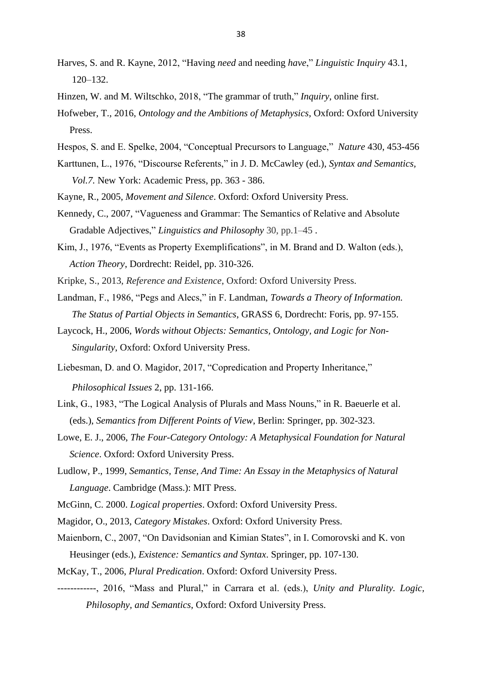- Harves, S. and R. Kayne, 2012, "Having *need* and needing *have*," *Linguistic Inquiry* 43.1, 120–132.
- Hinzen, W. and M. Wiltschko, 2018, "The grammar of truth," *Inquiry*, online first.
- Hofweber, T., 2016, *Ontology and the Ambitions of Metaphysics*, Oxford: Oxford University Press.
- Hespos, S. and E. Spelke, 2004, "Conceptual Precursors to Language," *Nature* 430, 453-456
- Karttunen, L., 1976, "Discourse Referents," in J. D. McCawley (ed.), *Syntax and Semantics, Vol.7.* New York: Academic Press, pp. 363 - 386.
- Kayne, R., 2005, *Movement and Silence*. Oxford: Oxford University Press.
- Kennedy, C., 2007, "Vagueness and Grammar: The Semantics of Relative and Absolute Gradable Adjectives," *Linguistics and Philosophy* 30, pp.1–45 .
- Kim, J., 1976, "Events as Property Exemplifications", in M. Brand and D. Walton (eds.), *Action Theory*, Dordrecht: Reidel, pp. 310-326.
- Kripke, S., 2013, *Reference and Existence*, Oxford: Oxford University Press.
- Landman, F., 1986, "Pegs and Alecs," in F. Landman, *Towards a Theory of Information. The Status of Partial Objects in Semantics*, GRASS 6, Dordrecht: Foris, pp. 97-155.
- Laycock, H., 2006, *Words without Objects: Semantics, Ontology, and Logic for Non- Singularity*, Oxford: Oxford University Press.
- Liebesman, D. and O. Magidor, 2017, "Copredication and Property Inheritance," *Philosophical Issues* 2, pp. 131-166.
- Link, G., 1983, "The Logical Analysis of Plurals and Mass Nouns," in R. Baeuerle et al. (eds.), *Semantics from Different Points of View*, Berlin: Springer, pp. 302-323.
- Lowe, E. J., 2006, *The Four-Category Ontology: A Metaphysical Foundation for Natural Science*. Oxford: Oxford University Press.
- Ludlow, P., 1999, *Semantics, Tense, And Time: An Essay in the Metaphysics of Natural Language*. Cambridge (Mass.): MIT Press.
- McGinn, C. 2000. *Logical properties*. Oxford: Oxford University Press.
- Magidor, O., 2013, *Category Mistakes*. Oxford: Oxford University Press.
- Maienborn, C., 2007, "On Davidsonian and Kimian States", in I. Comorovski and K. von Heusinger (eds.), *Existence: Semantics and Syntax*. Springer, pp. 107-130.
- McKay, T., 2006, *Plural Predication*. Oxford: Oxford University Press.
- ------------, 2016, "Mass and Plural," in Carrara et al. (eds.), *Unity and Plurality. Logic, Philosophy, and Semantics*, Oxford: Oxford University Press.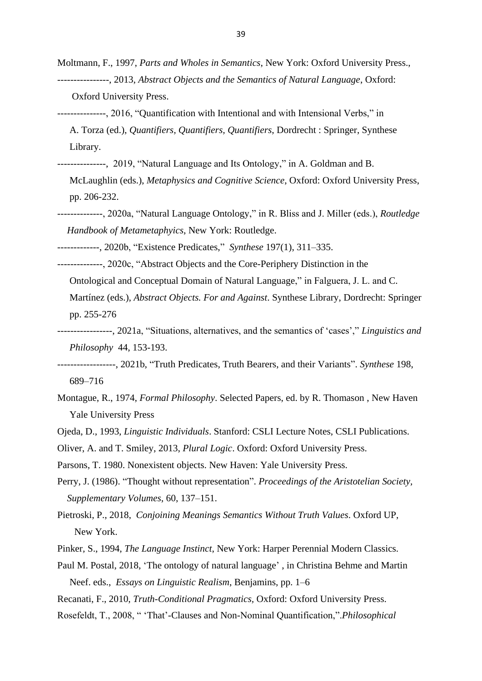Moltmann, F., 1997, *Parts and Wholes in Semantics*, New York: Oxford University Press., ----------------, 2013, *Abstract Objects and the Semantics of Natural Language*, Oxford: Oxford University Press.

---------------, 2016, "Quantification with Intentional and with Intensional Verbs," in A. Torza (ed.), *Quantifiers, Quantifiers, Quantifiers*, Dordrecht : Springer, Synthese Library.

---------------, 2019, "Natural Language and Its Ontology," in A. Goldman and B.

 McLaughlin (eds.), *Metaphysics and Cognitive Science*, Oxford: Oxford University Press, pp. 206-232.

--------------, 2020a, "Natural Language Ontology," in R. Bliss and J. Miller (eds.), *Routledge Handbook of Metametaphyics*, New York: Routledge.

-------------, 2020b, "Existence Predicates," *Synthese* 197(1), 311–335.

--------------, 2020c, "Abstract Objects and the Core-Periphery Distinction in the Ontological and Conceptual Domain of Natural Language," in Falguera, J. L. and C. Martínez (eds.), *Abstract Objects. For and Against*. Synthese Library, Dordrecht: Springer pp. 255-276

-----------------, 2021a, "Situations, alternatives, and the semantics of 'cases'," *Linguistics and Philosophy* 44, 153-193.

------------------, 2021b, ["Truth Predicates, Truth Bearers, and their Variants"](http://friederike-moltmann.com/uploads/Moltmann2018_Article_TruthPredicatesTruthBearersAnd%20(1).pdf). *Synthese* 198, 689–716

- Montague, R., 1974, *Formal Philosophy*. Selected Papers, ed. by R. Thomason , New Haven Yale University Press
- Ojeda, D., 1993, *Linguistic Individuals*. Stanford: CSLI Lecture Notes, CSLI Publications.

Oliver, A. and T. Smiley, 2013, *Plural Logic*. Oxford: Oxford University Press.

Parsons, T. 1980. Nonexistent objects. New Haven: Yale University Press.

- Perry, J. (1986). "Thought without representation". *Proceedings of the Aristotelian Society, Supplementary Volumes*, 60, 137–151.
- Pietroski, P., 2018, *Conjoining Meanings Semantics Without Truth Values*. Oxford UP, New York.
- Pinker*,* S., 1994, *The Language Instinct*, New York: Harper Perennial Modern Classics.
- Paul M. Postal, 2018, 'The ontology of natural language' , in Christina Behme and Martin Neef. eds., *Essays on Linguistic Realism*, Benjamins, pp. 1–6
- Recanati, F., 2010, *Truth-Conditional Pragmatics,* Oxford: Oxford University Press.

Rosefeldt, T., 2008, " 'That'-Clauses and Non-Nominal Quantification,".*Philosophical*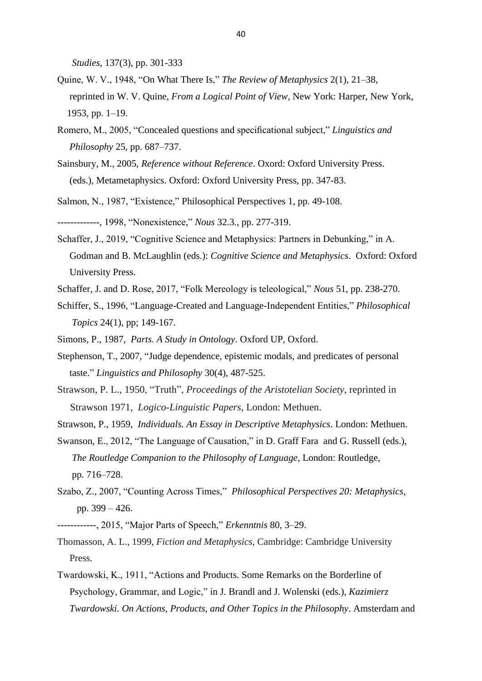*Studies*, 137(3), pp. 301-333

- Quine, W. V., 1948, "On What There Is," *The Review of Metaphysics* 2(1), 21–38, reprinted in W. V. Quine, *From a Logical Point of View*, New York: Harper, New York, 1953, pp. 1–19.
- Romero, M., 2005, "Concealed questions and specificational subject," *Linguistics and Philosophy* 25, pp. 687–737.
- Sainsbury, M., 2005, *Reference without Reference*. Oxord: Oxford University Press. (eds.), Metametaphysics. Oxford: Oxford University Press, pp. 347-83.
- Salmon, N., 1987, "Existence," Philosophical Perspectives 1, pp. 49-108.
- -------------, 1998, "Nonexistence," *Nous* 32.3., pp. 277-319.
- Schaffer, J., 2019, "Cognitive Science and Metaphysics: Partners in Debunking," in A. Godman and B. McLaughlin (eds.): *Cognitive Science and Metaphysics*. Oxford: Oxford University Press.
- Schaffer, J. and D. Rose, 2017, "Folk Mereology is teleological," *Nous* 51, pp. 238-270.
- Schiffer, S., 1996, "Language-Created and Language-Independent Entities," *Philosophical Topics* 24(1), pp; 149-167.
- Simons, P., 1987, *Parts. A Study in Ontology*. Oxford UP, Oxford.
- Stephenson, T., 2007, "Judge dependence, epistemic modals, and predicates of personal taste." *Linguistics and Philosophy* 30(4), 487-525.
- Strawson, P. L., 1950, "Truth", *Proceedings of the Aristotelian Society*, reprinted in Strawson 1971, *Logico-Linguistic Papers*, London: Methuen.
- Strawson, P., 1959, *Individuals. An Essay in Descriptive Metaphysics*. London: Methuen.
- Swanson, E., 2012, "The Language of Causation," in D. Graff Fara and G. Russell (eds.), *The Routledge Companion to the Philosophy of Language*, London: Routledge, pp. 716–728.
- Szabo, Z., 2007, "Counting Across Times," *Philosophical Perspectives 20: Metaphysics*, pp. 399 – 426.
- ------------, 2015, "Major Parts of Speech," *Erkenntnis* 80, 3–29.
- Thomasson, A. L., 1999, *Fiction and Metaphysics*, Cambridge: Cambridge University Press.
- Twardowski, K., 1911, "Actions and Products. Some Remarks on the Borderline of Psychology, Grammar, and Logic," in J. Brandl and J. Wolenski (eds.), *Kazimierz Twardowski. On Actions, Products, and Other Topics in the Philosophy*. Amsterdam and